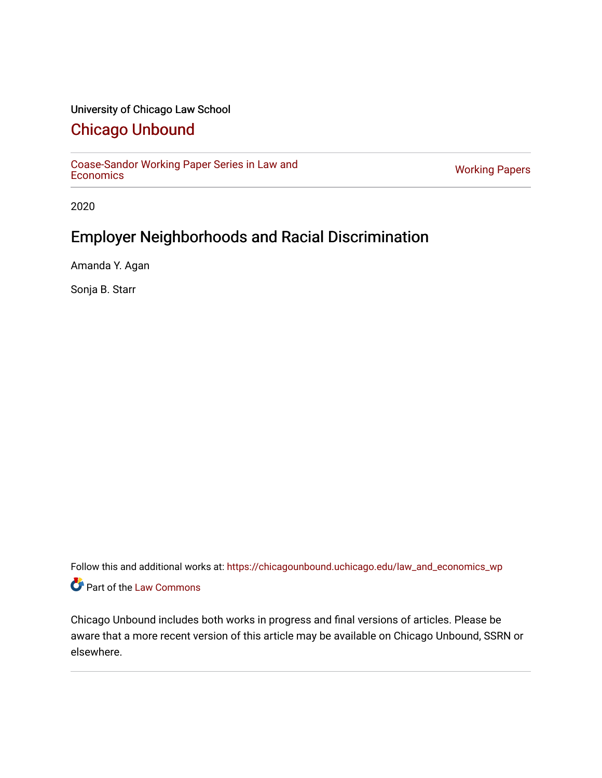# University of Chicago Law School

# [Chicago Unbound](https://chicagounbound.uchicago.edu/)

[Coase-Sandor Working Paper Series in Law and](https://chicagounbound.uchicago.edu/law_and_economics_wp) [Economics](https://chicagounbound.uchicago.edu/law_and_economics_wp) [Working Papers](https://chicagounbound.uchicago.edu/working_papers) 

2020

# Employer Neighborhoods and Racial Discrimination

Amanda Y. Agan

Sonja B. Starr

Follow this and additional works at: [https://chicagounbound.uchicago.edu/law\\_and\\_economics\\_wp](https://chicagounbound.uchicago.edu/law_and_economics_wp?utm_source=chicagounbound.uchicago.edu%2Flaw_and_economics_wp%2F27&utm_medium=PDF&utm_campaign=PDFCoverPages)  Part of the [Law Commons](http://network.bepress.com/hgg/discipline/578?utm_source=chicagounbound.uchicago.edu%2Flaw_and_economics_wp%2F27&utm_medium=PDF&utm_campaign=PDFCoverPages)

Chicago Unbound includes both works in progress and final versions of articles. Please be aware that a more recent version of this article may be available on Chicago Unbound, SSRN or elsewhere.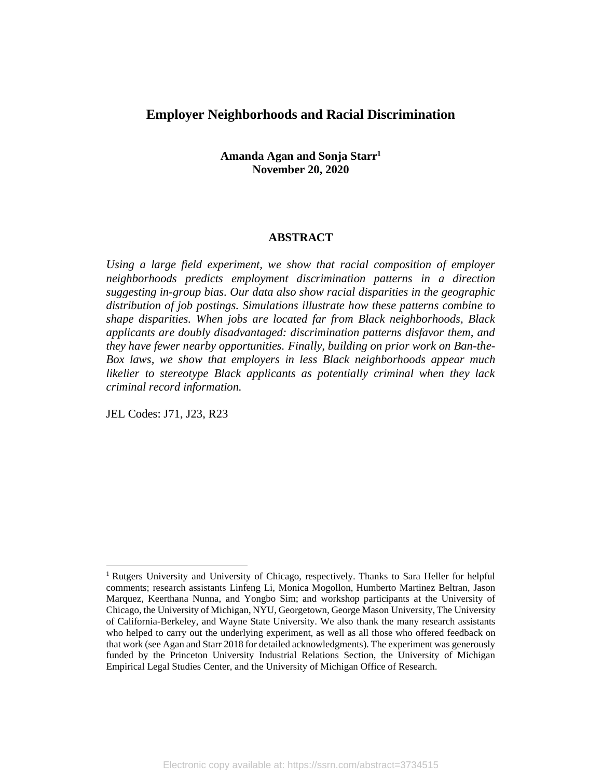# **Employer Neighborhoods and Racial Discrimination**

**Amanda Agan and Sonja Starr<sup>1</sup> November 20, 2020**

### **ABSTRACT**

*Using a large field experiment, we show that racial composition of employer neighborhoods predicts employment discrimination patterns in a direction suggesting in-group bias. Our data also show racial disparities in the geographic distribution of job postings. Simulations illustrate how these patterns combine to shape disparities. When jobs are located far from Black neighborhoods, Black applicants are doubly disadvantaged: discrimination patterns disfavor them, and they have fewer nearby opportunities. Finally, building on prior work on Ban-the-Box laws, we show that employers in less Black neighborhoods appear much likelier to stereotype Black applicants as potentially criminal when they lack criminal record information.*

JEL Codes: J71, J23, R23

<sup>&</sup>lt;sup>1</sup> Rutgers University and University of Chicago, respectively. Thanks to Sara Heller for helpful comments; research assistants Linfeng Li, Monica Mogollon, Humberto Martinez Beltran, Jason Marquez, Keerthana Nunna, and Yongbo Sim; and workshop participants at the University of Chicago, the University of Michigan, NYU, Georgetown, George Mason University, The University of California-Berkeley, and Wayne State University. We also thank the many research assistants who helped to carry out the underlying experiment, as well as all those who offered feedback on that work (see Agan and Starr 2018 for detailed acknowledgments). The experiment was generously funded by the Princeton University Industrial Relations Section, the University of Michigan Empirical Legal Studies Center, and the University of Michigan Office of Research.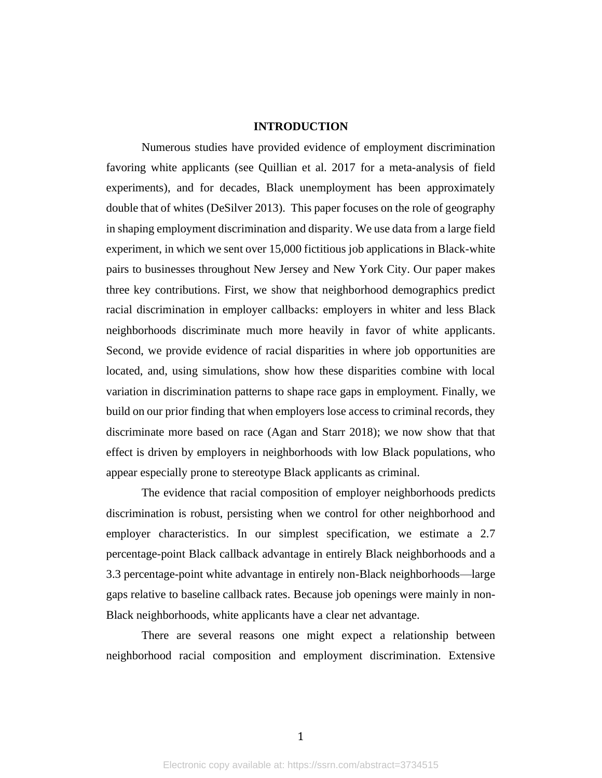## **INTRODUCTION**

Numerous studies have provided evidence of employment discrimination favoring white applicants (see Quillian et al. 2017 for a meta-analysis of field experiments), and for decades, Black unemployment has been approximately double that of whites (DeSilver 2013). This paper focuses on the role of geography in shaping employment discrimination and disparity. We use data from a large field experiment, in which we sent over 15,000 fictitious job applications in Black-white pairs to businesses throughout New Jersey and New York City. Our paper makes three key contributions. First, we show that neighborhood demographics predict racial discrimination in employer callbacks: employers in whiter and less Black neighborhoods discriminate much more heavily in favor of white applicants. Second, we provide evidence of racial disparities in where job opportunities are located, and, using simulations, show how these disparities combine with local variation in discrimination patterns to shape race gaps in employment. Finally, we build on our prior finding that when employers lose access to criminal records, they discriminate more based on race (Agan and Starr 2018); we now show that that effect is driven by employers in neighborhoods with low Black populations, who appear especially prone to stereotype Black applicants as criminal.

The evidence that racial composition of employer neighborhoods predicts discrimination is robust, persisting when we control for other neighborhood and employer characteristics. In our simplest specification, we estimate a 2.7 percentage-point Black callback advantage in entirely Black neighborhoods and a 3.3 percentage-point white advantage in entirely non-Black neighborhoods—large gaps relative to baseline callback rates. Because job openings were mainly in non-Black neighborhoods, white applicants have a clear net advantage.

There are several reasons one might expect a relationship between neighborhood racial composition and employment discrimination. Extensive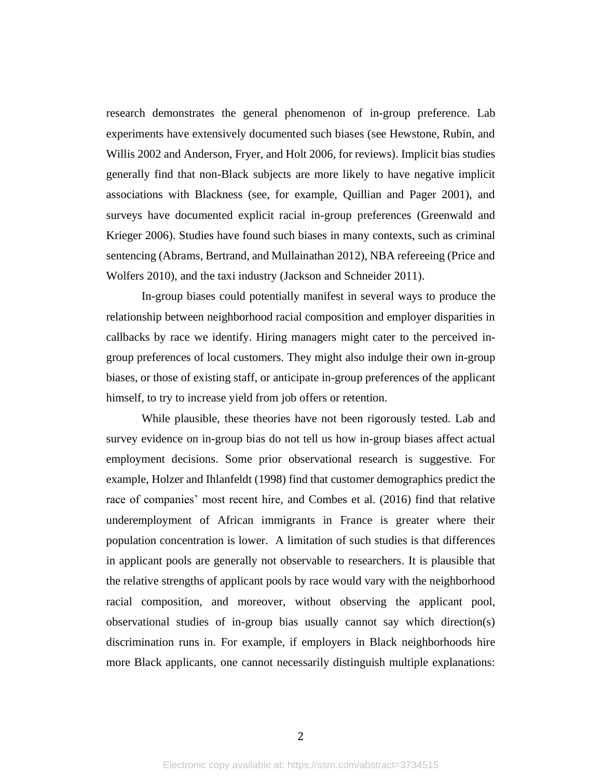research demonstrates the general phenomenon of in-group preference. Lab experiments have extensively documented such biases (see Hewstone, Rubin, and Willis 2002 and Anderson, Fryer, and Holt 2006, for reviews). Implicit bias studies generally find that non-Black subjects are more likely to have negative implicit associations with Blackness (see, for example, Quillian and Pager 2001), and surveys have documented explicit racial in-group preferences (Greenwald and Krieger 2006). Studies have found such biases in many contexts, such as criminal sentencing (Abrams, Bertrand, and Mullainathan 2012), NBA refereeing (Price and Wolfers 2010), and the taxi industry (Jackson and Schneider 2011).

In-group biases could potentially manifest in several ways to produce the relationship between neighborhood racial composition and employer disparities in callbacks by race we identify. Hiring managers might cater to the perceived ingroup preferences of local customers. They might also indulge their own in-group biases, or those of existing staff, or anticipate in-group preferences of the applicant himself, to try to increase yield from job offers or retention.

While plausible, these theories have not been rigorously tested. Lab and survey evidence on in-group bias do not tell us how in-group biases affect actual employment decisions. Some prior observational research is suggestive. For example, Holzer and Ihlanfeldt (1998) find that customer demographics predict the race of companies' most recent hire, and Combes et al. (2016) find that relative underemployment of African immigrants in France is greater where their population concentration is lower. A limitation of such studies is that differences in applicant pools are generally not observable to researchers. It is plausible that the relative strengths of applicant pools by race would vary with the neighborhood racial composition, and moreover, without observing the applicant pool, observational studies of in-group bias usually cannot say which direction(s) discrimination runs in. For example, if employers in Black neighborhoods hire more Black applicants, one cannot necessarily distinguish multiple explanations: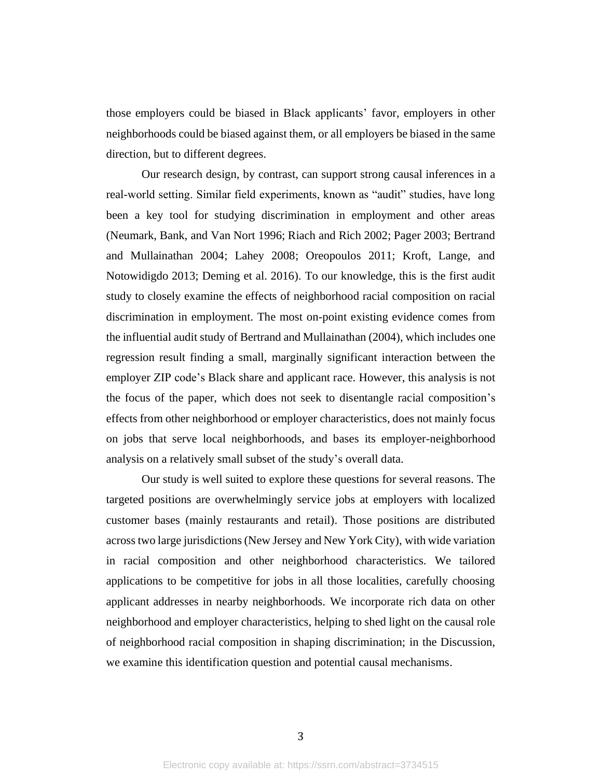those employers could be biased in Black applicants' favor, employers in other neighborhoods could be biased against them, or all employers be biased in the same direction, but to different degrees.

Our research design, by contrast, can support strong causal inferences in a real-world setting. Similar field experiments, known as "audit" studies, have long been a key tool for studying discrimination in employment and other areas (Neumark, Bank, and Van Nort 1996; Riach and Rich 2002; Pager 2003; Bertrand and Mullainathan 2004; Lahey 2008; Oreopoulos 2011; Kroft, Lange, and Notowidigdo 2013; Deming et al. 2016). To our knowledge, this is the first audit study to closely examine the effects of neighborhood racial composition on racial discrimination in employment. The most on-point existing evidence comes from the influential audit study of Bertrand and Mullainathan (2004), which includes one regression result finding a small, marginally significant interaction between the employer ZIP code's Black share and applicant race. However, this analysis is not the focus of the paper, which does not seek to disentangle racial composition's effects from other neighborhood or employer characteristics, does not mainly focus on jobs that serve local neighborhoods, and bases its employer-neighborhood analysis on a relatively small subset of the study's overall data.

Our study is well suited to explore these questions for several reasons. The targeted positions are overwhelmingly service jobs at employers with localized customer bases (mainly restaurants and retail). Those positions are distributed across two large jurisdictions (New Jersey and New York City), with wide variation in racial composition and other neighborhood characteristics. We tailored applications to be competitive for jobs in all those localities, carefully choosing applicant addresses in nearby neighborhoods. We incorporate rich data on other neighborhood and employer characteristics, helping to shed light on the causal role of neighborhood racial composition in shaping discrimination; in the Discussion, we examine this identification question and potential causal mechanisms.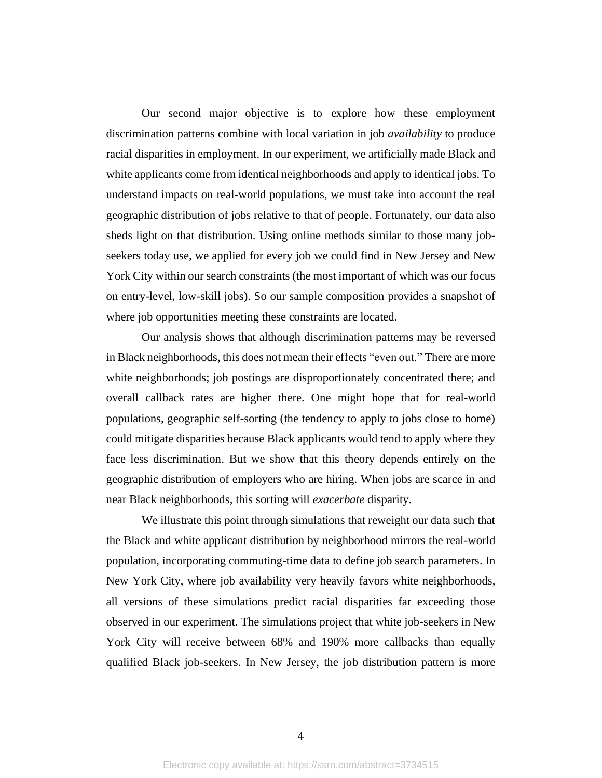Our second major objective is to explore how these employment discrimination patterns combine with local variation in job *availability* to produce racial disparities in employment. In our experiment, we artificially made Black and white applicants come from identical neighborhoods and apply to identical jobs. To understand impacts on real-world populations, we must take into account the real geographic distribution of jobs relative to that of people. Fortunately, our data also sheds light on that distribution. Using online methods similar to those many jobseekers today use, we applied for every job we could find in New Jersey and New York City within our search constraints (the most important of which was our focus on entry-level, low-skill jobs). So our sample composition provides a snapshot of where job opportunities meeting these constraints are located.

Our analysis shows that although discrimination patterns may be reversed in Black neighborhoods, this does not mean their effects "even out." There are more white neighborhoods; job postings are disproportionately concentrated there; and overall callback rates are higher there. One might hope that for real-world populations, geographic self-sorting (the tendency to apply to jobs close to home) could mitigate disparities because Black applicants would tend to apply where they face less discrimination. But we show that this theory depends entirely on the geographic distribution of employers who are hiring. When jobs are scarce in and near Black neighborhoods, this sorting will *exacerbate* disparity.

We illustrate this point through simulations that reweight our data such that the Black and white applicant distribution by neighborhood mirrors the real-world population, incorporating commuting-time data to define job search parameters. In New York City, where job availability very heavily favors white neighborhoods, all versions of these simulations predict racial disparities far exceeding those observed in our experiment. The simulations project that white job-seekers in New York City will receive between 68% and 190% more callbacks than equally qualified Black job-seekers. In New Jersey, the job distribution pattern is more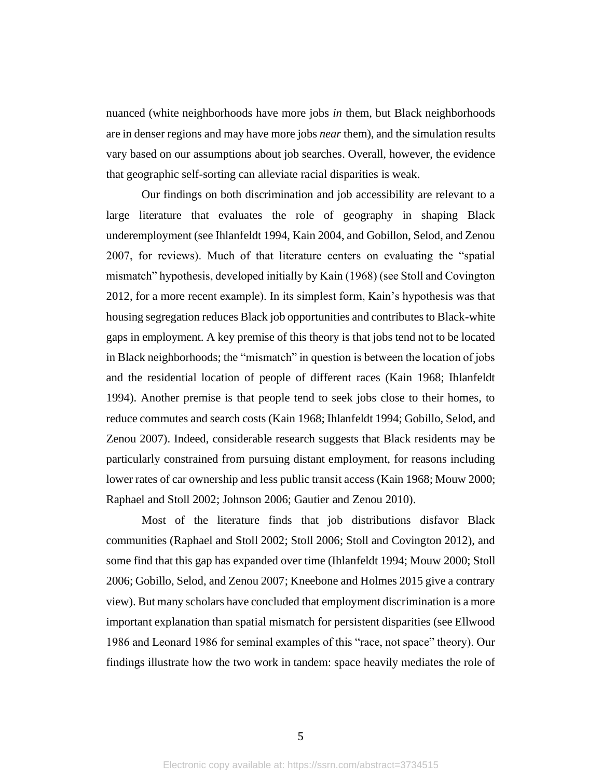nuanced (white neighborhoods have more jobs *in* them, but Black neighborhoods are in denser regions and may have more jobs *near* them), and the simulation results vary based on our assumptions about job searches. Overall, however, the evidence that geographic self-sorting can alleviate racial disparities is weak.

Our findings on both discrimination and job accessibility are relevant to a large literature that evaluates the role of geography in shaping Black underemployment (see Ihlanfeldt 1994, Kain 2004, and Gobillon, Selod, and Zenou 2007, for reviews). Much of that literature centers on evaluating the "spatial mismatch" hypothesis, developed initially by Kain (1968) (see Stoll and Covington 2012, for a more recent example). In its simplest form, Kain's hypothesis was that housing segregation reduces Black job opportunities and contributes to Black-white gaps in employment. A key premise of this theory is that jobs tend not to be located in Black neighborhoods; the "mismatch" in question is between the location of jobs and the residential location of people of different races (Kain 1968; Ihlanfeldt 1994). Another premise is that people tend to seek jobs close to their homes, to reduce commutes and search costs (Kain 1968; Ihlanfeldt 1994; Gobillo, Selod, and Zenou 2007). Indeed, considerable research suggests that Black residents may be particularly constrained from pursuing distant employment, for reasons including lower rates of car ownership and less public transit access (Kain 1968; Mouw 2000; Raphael and Stoll 2002; Johnson 2006; Gautier and Zenou 2010).

Most of the literature finds that job distributions disfavor Black communities (Raphael and Stoll 2002; Stoll 2006; Stoll and Covington 2012), and some find that this gap has expanded over time (Ihlanfeldt 1994; Mouw 2000; Stoll 2006; Gobillo, Selod, and Zenou 2007; Kneebone and Holmes 2015 give a contrary view). But many scholars have concluded that employment discrimination is a more important explanation than spatial mismatch for persistent disparities (see Ellwood 1986 and Leonard 1986 for seminal examples of this "race, not space" theory). Our findings illustrate how the two work in tandem: space heavily mediates the role of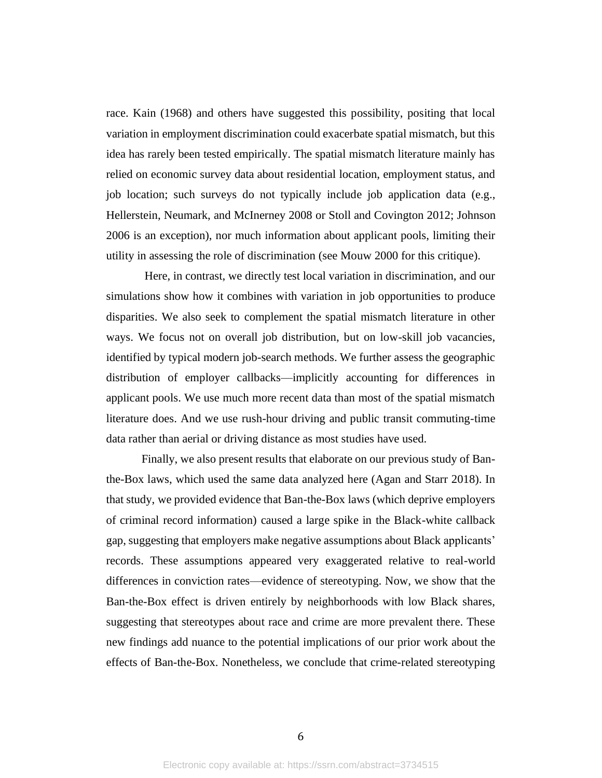race. Kain (1968) and others have suggested this possibility, positing that local variation in employment discrimination could exacerbate spatial mismatch, but this idea has rarely been tested empirically. The spatial mismatch literature mainly has relied on economic survey data about residential location, employment status, and job location; such surveys do not typically include job application data (e.g., Hellerstein, Neumark, and McInerney 2008 or Stoll and Covington 2012; Johnson 2006 is an exception), nor much information about applicant pools, limiting their utility in assessing the role of discrimination (see Mouw 2000 for this critique).

Here, in contrast, we directly test local variation in discrimination, and our simulations show how it combines with variation in job opportunities to produce disparities. We also seek to complement the spatial mismatch literature in other ways. We focus not on overall job distribution, but on low-skill job vacancies, identified by typical modern job-search methods. We further assess the geographic distribution of employer callbacks—implicitly accounting for differences in applicant pools. We use much more recent data than most of the spatial mismatch literature does. And we use rush-hour driving and public transit commuting-time data rather than aerial or driving distance as most studies have used.

Finally, we also present results that elaborate on our previous study of Banthe-Box laws, which used the same data analyzed here (Agan and Starr 2018). In that study, we provided evidence that Ban-the-Box laws (which deprive employers of criminal record information) caused a large spike in the Black-white callback gap, suggesting that employers make negative assumptions about Black applicants' records. These assumptions appeared very exaggerated relative to real-world differences in conviction rates—evidence of stereotyping. Now, we show that the Ban-the-Box effect is driven entirely by neighborhoods with low Black shares, suggesting that stereotypes about race and crime are more prevalent there. These new findings add nuance to the potential implications of our prior work about the effects of Ban-the-Box. Nonetheless, we conclude that crime-related stereotyping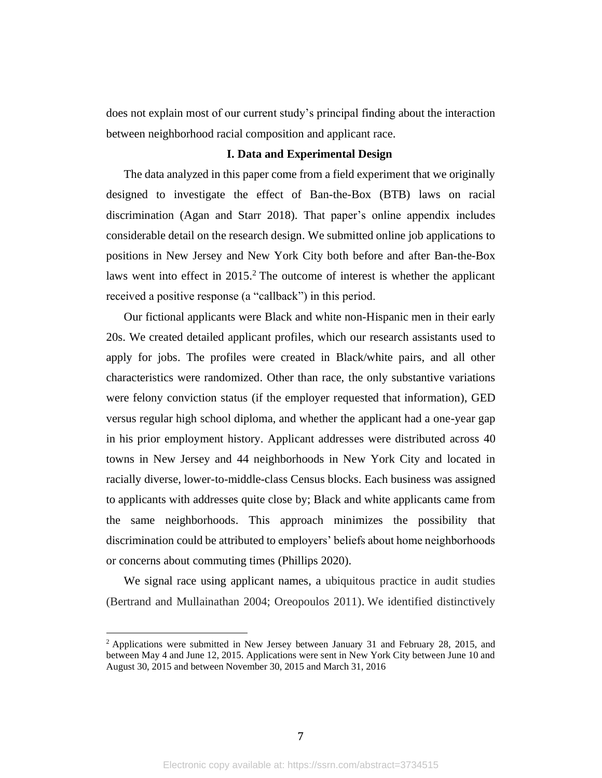does not explain most of our current study's principal finding about the interaction between neighborhood racial composition and applicant race.

## **I. Data and Experimental Design**

The data analyzed in this paper come from a field experiment that we originally designed to investigate the effect of Ban-the-Box (BTB) laws on racial discrimination (Agan and Starr 2018). That paper's online appendix includes considerable detail on the research design. We submitted online job applications to positions in New Jersey and New York City both before and after Ban-the-Box laws went into effect in 2015. <sup>2</sup> The outcome of interest is whether the applicant received a positive response (a "callback") in this period.

Our fictional applicants were Black and white non-Hispanic men in their early 20s. We created detailed applicant profiles, which our research assistants used to apply for jobs. The profiles were created in Black/white pairs, and all other characteristics were randomized. Other than race, the only substantive variations were felony conviction status (if the employer requested that information), GED versus regular high school diploma, and whether the applicant had a one-year gap in his prior employment history. Applicant addresses were distributed across 40 towns in New Jersey and 44 neighborhoods in New York City and located in racially diverse, lower-to-middle-class Census blocks. Each business was assigned to applicants with addresses quite close by; Black and white applicants came from the same neighborhoods. This approach minimizes the possibility that discrimination could be attributed to employers' beliefs about home neighborhoods or concerns about commuting times (Phillips 2020).

We signal race using applicant names, a ubiquitous practice in audit studies (Bertrand and Mullainathan 2004; Oreopoulos 2011). We identified distinctively

<sup>2</sup> Applications were submitted in New Jersey between January 31 and February 28, 2015, and between May 4 and June 12, 2015. Applications were sent in New York City between June 10 and August 30, 2015 and between November 30, 2015 and March 31, 2016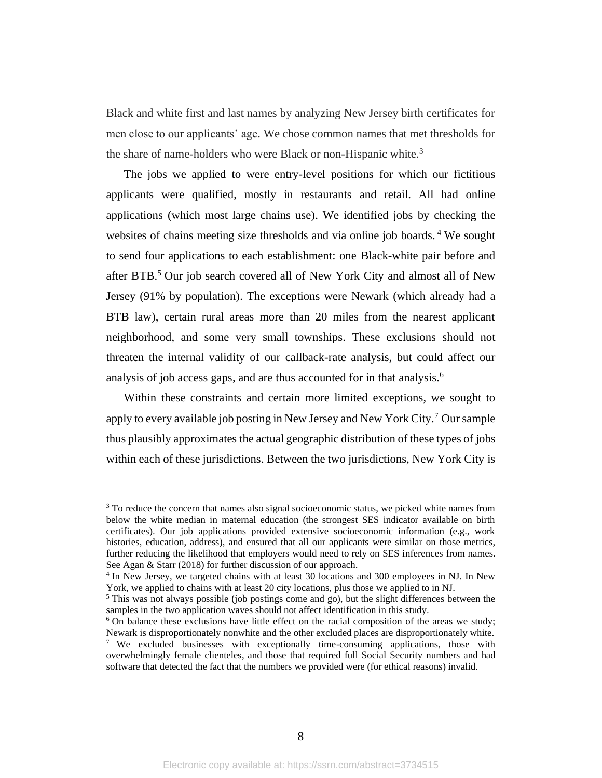Black and white first and last names by analyzing New Jersey birth certificates for men close to our applicants' age. We chose common names that met thresholds for the share of name-holders who were Black or non-Hispanic white.<sup>3</sup>

The jobs we applied to were entry-level positions for which our fictitious applicants were qualified, mostly in restaurants and retail. All had online applications (which most large chains use). We identified jobs by checking the websites of chains meeting size thresholds and via online job boards. <sup>4</sup> We sought to send four applications to each establishment: one Black-white pair before and after BTB. <sup>5</sup> Our job search covered all of New York City and almost all of New Jersey (91% by population). The exceptions were Newark (which already had a BTB law), certain rural areas more than 20 miles from the nearest applicant neighborhood, and some very small townships. These exclusions should not threaten the internal validity of our callback-rate analysis, but could affect our analysis of job access gaps, and are thus accounted for in that analysis. 6

Within these constraints and certain more limited exceptions, we sought to apply to every available job posting in New Jersey and New York City.<sup>7</sup> Our sample thus plausibly approximates the actual geographic distribution of these types of jobs within each of these jurisdictions. Between the two jurisdictions, New York City is

<sup>&</sup>lt;sup>3</sup> To reduce the concern that names also signal socioeconomic status, we picked white names from below the white median in maternal education (the strongest SES indicator available on birth certificates). Our job applications provided extensive socioeconomic information (e.g., work histories, education, address), and ensured that all our applicants were similar on those metrics, further reducing the likelihood that employers would need to rely on SES inferences from names. See Agan & Starr (2018) for further discussion of our approach.

<sup>&</sup>lt;sup>4</sup> In New Jersey, we targeted chains with at least 30 locations and 300 employees in NJ. In New York, we applied to chains with at least 20 city locations, plus those we applied to in NJ.

 $<sup>5</sup>$  This was not always possible (job postings come and go), but the slight differences between the</sup> samples in the two application waves should not affect identification in this study.

<sup>&</sup>lt;sup>6</sup> On balance these exclusions have little effect on the racial composition of the areas we study; Newark is disproportionately nonwhite and the other excluded places are disproportionately white. <sup>7</sup> We excluded businesses with exceptionally time-consuming applications, those with

overwhelmingly female clienteles, and those that required full Social Security numbers and had software that detected the fact that the numbers we provided were (for ethical reasons) invalid.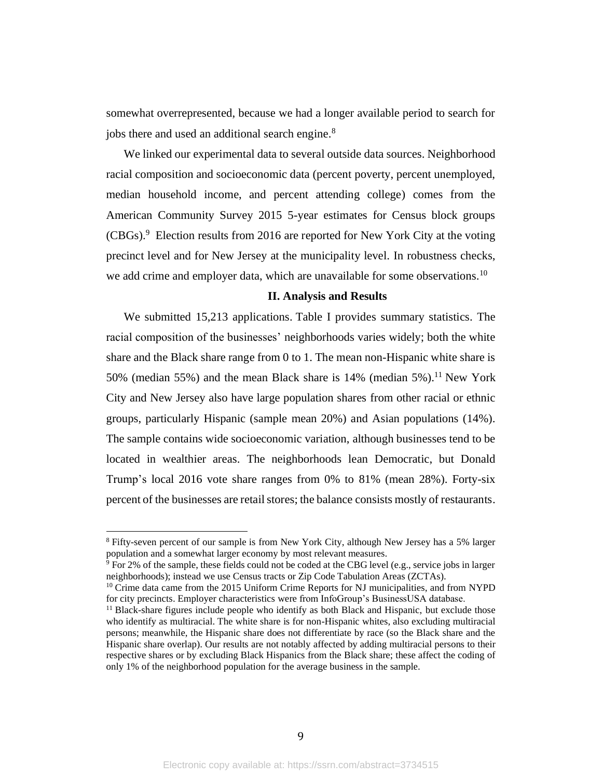somewhat overrepresented, because we had a longer available period to search for jobs there and used an additional search engine. 8

We linked our experimental data to several outside data sources. Neighborhood racial composition and socioeconomic data (percent poverty, percent unemployed, median household income, and percent attending college) comes from the American Community Survey 2015 5-year estimates for Census block groups (CBGs). <sup>9</sup> Election results from 2016 are reported for New York City at the voting precinct level and for New Jersey at the municipality level. In robustness checks, we add crime and employer data, which are unavailable for some observations.<sup>10</sup>

#### **II. Analysis and Results**

We submitted 15,213 applications. Table I provides summary statistics. The racial composition of the businesses' neighborhoods varies widely; both the white share and the Black share range from 0 to 1. The mean non-Hispanic white share is 50% (median 55%) and the mean Black share is  $14%$  (median 5%).<sup>11</sup> New York City and New Jersey also have large population shares from other racial or ethnic groups, particularly Hispanic (sample mean 20%) and Asian populations (14%). The sample contains wide socioeconomic variation, although businesses tend to be located in wealthier areas. The neighborhoods lean Democratic, but Donald Trump's local 2016 vote share ranges from 0% to 81% (mean 28%). Forty-six percent of the businesses are retail stores; the balance consists mostly of restaurants.

<sup>8</sup> Fifty-seven percent of our sample is from New York City, although New Jersey has a 5% larger population and a somewhat larger economy by most relevant measures.

 $9$  For 2% of the sample, these fields could not be coded at the CBG level (e.g., service jobs in larger neighborhoods); instead we use Census tracts or Zip Code Tabulation Areas (ZCTAs).

<sup>&</sup>lt;sup>10</sup> Crime data came from the 2015 Uniform Crime Reports for NJ municipalities, and from NYPD for city precincts. Employer characteristics were from InfoGroup's BusinessUSA database.

<sup>&</sup>lt;sup>11</sup> Black-share figures include people who identify as both Black and Hispanic, but exclude those who identify as multiracial. The white share is for non-Hispanic whites, also excluding multiracial persons; meanwhile, the Hispanic share does not differentiate by race (so the Black share and the Hispanic share overlap). Our results are not notably affected by adding multiracial persons to their respective shares or by excluding Black Hispanics from the Black share; these affect the coding of only 1% of the neighborhood population for the average business in the sample.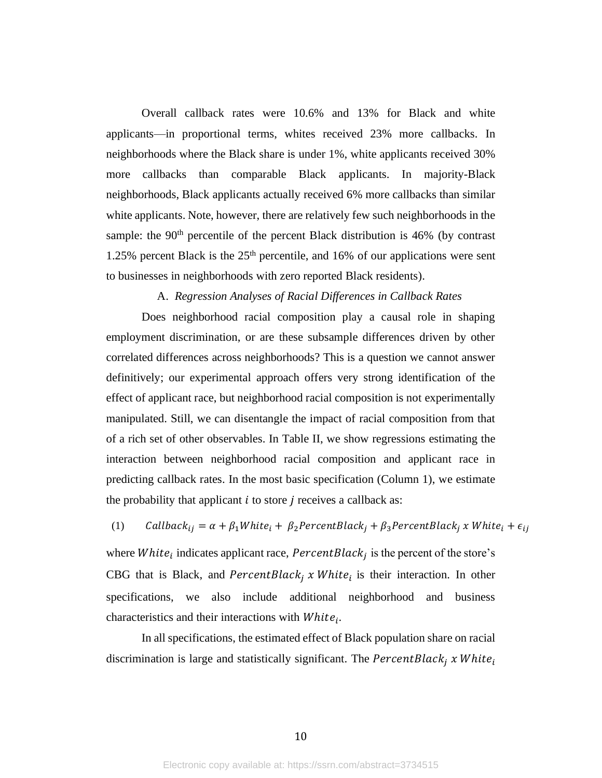Overall callback rates were 10.6% and 13% for Black and white applicants—in proportional terms, whites received 23% more callbacks. In neighborhoods where the Black share is under 1%, white applicants received 30% more callbacks than comparable Black applicants. In majority-Black neighborhoods, Black applicants actually received 6% more callbacks than similar white applicants. Note, however, there are relatively few such neighborhoods in the sample: the  $90<sup>th</sup>$  percentile of the percent Black distribution is 46% (by contrast 1.25% percent Black is the  $25<sup>th</sup>$  percentile, and 16% of our applications were sent to businesses in neighborhoods with zero reported Black residents).

#### A. *Regression Analyses of Racial Differences in Callback Rates*

Does neighborhood racial composition play a causal role in shaping employment discrimination, or are these subsample differences driven by other correlated differences across neighborhoods? This is a question we cannot answer definitively; our experimental approach offers very strong identification of the effect of applicant race, but neighborhood racial composition is not experimentally manipulated. Still, we can disentangle the impact of racial composition from that of a rich set of other observables. In Table II, we show regressions estimating the interaction between neighborhood racial composition and applicant race in predicting callback rates. In the most basic specification (Column 1), we estimate the probability that applicant  $i$  to store  $j$  receives a callback as:

(1) *Callback*<sub>ij</sub> =  $\alpha + \beta_1 White_i + \beta_2 PercentBlack_j + \beta_3 PercentBlack_j x White_i + \epsilon_{ij}$ 

where *White*<sub>i</sub> indicates applicant race, *PercentBlack*<sub>j</sub> is the percent of the store's CBG that is Black, and  $PercentBlack_j \times White_i$  is their interaction. In other specifications, we also include additional neighborhood and business characteristics and their interactions with  $White_i$ .

In all specifications, the estimated effect of Black population share on racial discrimination is large and statistically significant. The  $PercentBlack_i$  x White<sub>i</sub>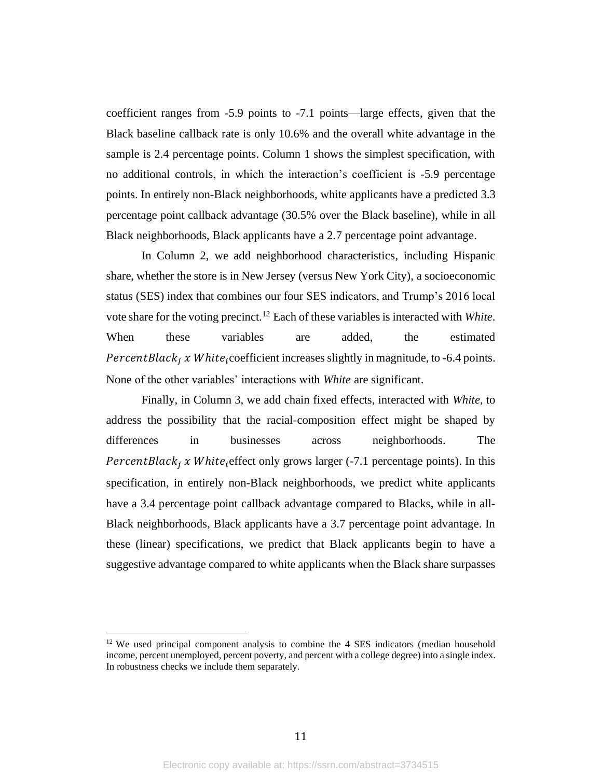coefficient ranges from -5.9 points to -7.1 points—large effects, given that the Black baseline callback rate is only 10.6% and the overall white advantage in the sample is 2.4 percentage points. Column 1 shows the simplest specification, with no additional controls, in which the interaction's coefficient is -5.9 percentage points. In entirely non-Black neighborhoods, white applicants have a predicted 3.3 percentage point callback advantage (30.5% over the Black baseline), while in all Black neighborhoods, Black applicants have a 2.7 percentage point advantage.

In Column 2, we add neighborhood characteristics, including Hispanic share, whether the store is in New Jersey (versus New York City), a socioeconomic status (SES) index that combines our four SES indicators, and Trump's 2016 local vote share for the voting precinct. <sup>12</sup> Each of these variables is interacted with *White*. When these variables are added, the estimated *PercentBlack<sub>i</sub> x White<sub>i</sub>*coefficient increases slightly in magnitude, to -6.4 points. None of the other variables' interactions with *White* are significant.

Finally, in Column 3, we add chain fixed effects, interacted with *White*, to address the possibility that the racial-composition effect might be shaped by differences in businesses across neighborhoods. The *PercentBlack<sub>i</sub> x White<sub>i</sub>*effect only grows larger (-7.1 percentage points). In this specification, in entirely non-Black neighborhoods, we predict white applicants have a 3.4 percentage point callback advantage compared to Blacks, while in all-Black neighborhoods, Black applicants have a 3.7 percentage point advantage. In these (linear) specifications, we predict that Black applicants begin to have a suggestive advantage compared to white applicants when the Black share surpasses

<sup>&</sup>lt;sup>12</sup> We used principal component analysis to combine the 4 SES indicators (median household income, percent unemployed, percent poverty, and percent with a college degree) into a single index. In robustness checks we include them separately.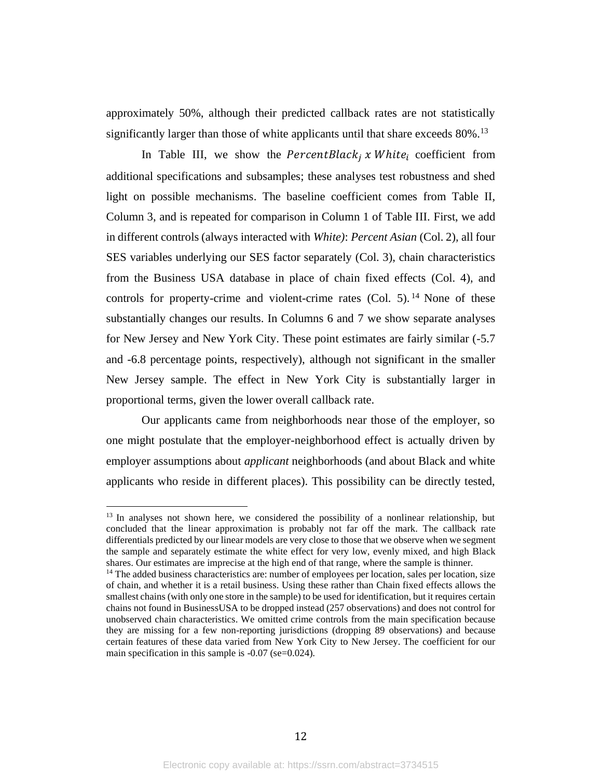approximately 50%, although their predicted callback rates are not statistically significantly larger than those of white applicants until that share exceeds 80%. 13

In Table III, we show the *PercentBlack<sub>i</sub>* x White<sub>i</sub> coefficient from additional specifications and subsamples; these analyses test robustness and shed light on possible mechanisms. The baseline coefficient comes from Table II, Column 3, and is repeated for comparison in Column 1 of Table III. First, we add in different controls (always interacted with *White)*: *Percent Asian* (Col. 2)*,* all four SES variables underlying our SES factor separately (Col. 3), chain characteristics from the Business USA database in place of chain fixed effects (Col. 4), and controls for property-crime and violent-crime rates (Col. 5). <sup>14</sup> None of these substantially changes our results. In Columns 6 and 7 we show separate analyses for New Jersey and New York City. These point estimates are fairly similar (-5.7 and -6.8 percentage points, respectively), although not significant in the smaller New Jersey sample. The effect in New York City is substantially larger in proportional terms, given the lower overall callback rate.

Our applicants came from neighborhoods near those of the employer, so one might postulate that the employer-neighborhood effect is actually driven by employer assumptions about *applicant* neighborhoods (and about Black and white applicants who reside in different places). This possibility can be directly tested,

 $13$  In analyses not shown here, we considered the possibility of a nonlinear relationship, but concluded that the linear approximation is probably not far off the mark. The callback rate differentials predicted by our linear models are very close to those that we observe when we segment the sample and separately estimate the white effect for very low, evenly mixed, and high Black shares. Our estimates are imprecise at the high end of that range, where the sample is thinner.

<sup>&</sup>lt;sup>14</sup> The added business characteristics are: number of employees per location, sales per location, size of chain, and whether it is a retail business. Using these rather than Chain fixed effects allows the smallest chains (with only one store in the sample) to be used for identification, but it requires certain chains not found in BusinessUSA to be dropped instead (257 observations) and does not control for unobserved chain characteristics. We omitted crime controls from the main specification because they are missing for a few non-reporting jurisdictions (dropping 89 observations) and because certain features of these data varied from New York City to New Jersey. The coefficient for our main specification in this sample is -0.07 (se=0.024).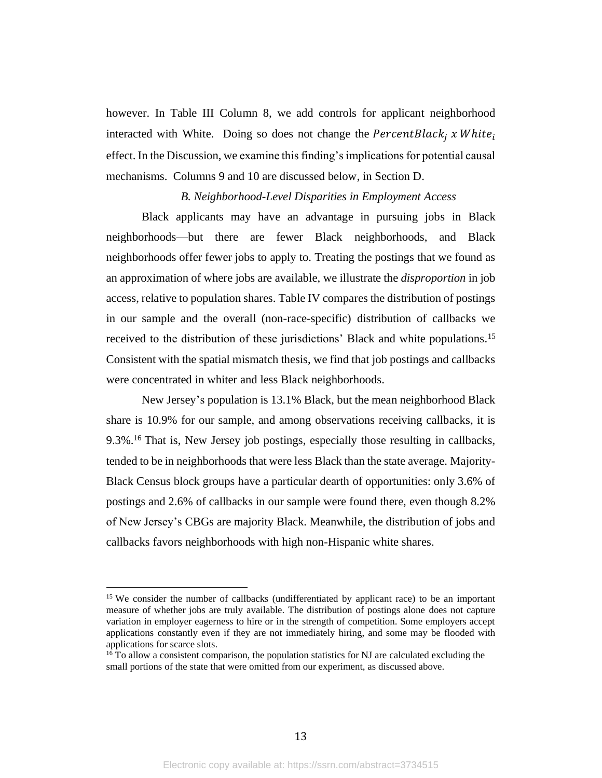however. In Table III Column 8, we add controls for applicant neighborhood interacted with White. Doing so does not change the  $PercentBlack_i x White_i$ effect. In the Discussion, we examine this finding's implications for potential causal mechanisms. Columns 9 and 10 are discussed below, in Section D.

#### *B. Neighborhood-Level Disparities in Employment Access*

Black applicants may have an advantage in pursuing jobs in Black neighborhoods—but there are fewer Black neighborhoods, and Black neighborhoods offer fewer jobs to apply to. Treating the postings that we found as an approximation of where jobs are available, we illustrate the *disproportion* in job access, relative to population shares. Table IV compares the distribution of postings in our sample and the overall (non-race-specific) distribution of callbacks we received to the distribution of these jurisdictions' Black and white populations.<sup>15</sup> Consistent with the spatial mismatch thesis, we find that job postings and callbacks were concentrated in whiter and less Black neighborhoods.

New Jersey's population is 13.1% Black, but the mean neighborhood Black share is 10.9% for our sample, and among observations receiving callbacks, it is 9.3%. <sup>16</sup> That is, New Jersey job postings, especially those resulting in callbacks, tended to be in neighborhoods that were less Black than the state average. Majority-Black Census block groups have a particular dearth of opportunities: only 3.6% of postings and 2.6% of callbacks in our sample were found there, even though 8.2% of New Jersey's CBGs are majority Black. Meanwhile, the distribution of jobs and callbacks favors neighborhoods with high non-Hispanic white shares.

<sup>&</sup>lt;sup>15</sup> We consider the number of callbacks (undifferentiated by applicant race) to be an important measure of whether jobs are truly available. The distribution of postings alone does not capture variation in employer eagerness to hire or in the strength of competition. Some employers accept applications constantly even if they are not immediately hiring, and some may be flooded with applications for scarce slots.

 $16$  To allow a consistent comparison, the population statistics for NJ are calculated excluding the small portions of the state that were omitted from our experiment, as discussed above.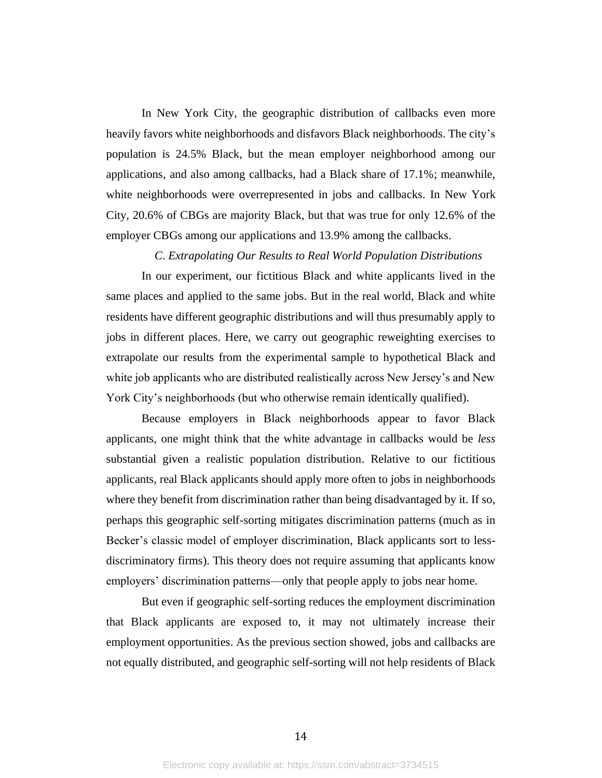In New York City, the geographic distribution of callbacks even more heavily favors white neighborhoods and disfavors Black neighborhoods. The city's population is 24.5% Black, but the mean employer neighborhood among our applications, and also among callbacks, had a Black share of 17.1%; meanwhile, white neighborhoods were overrepresented in jobs and callbacks. In New York City, 20.6% of CBGs are majority Black, but that was true for only 12.6% of the employer CBGs among our applications and 13.9% among the callbacks.

## *C*. *Extrapolating Our Results to Real World Population Distributions*

In our experiment, our fictitious Black and white applicants lived in the same places and applied to the same jobs. But in the real world, Black and white residents have different geographic distributions and will thus presumably apply to jobs in different places. Here, we carry out geographic reweighting exercises to extrapolate our results from the experimental sample to hypothetical Black and white job applicants who are distributed realistically across New Jersey's and New York City's neighborhoods (but who otherwise remain identically qualified).

Because employers in Black neighborhoods appear to favor Black applicants, one might think that the white advantage in callbacks would be *less* substantial given a realistic population distribution. Relative to our fictitious applicants, real Black applicants should apply more often to jobs in neighborhoods where they benefit from discrimination rather than being disadvantaged by it. If so, perhaps this geographic self-sorting mitigates discrimination patterns (much as in Becker's classic model of employer discrimination, Black applicants sort to lessdiscriminatory firms). This theory does not require assuming that applicants know employers' discrimination patterns—only that people apply to jobs near home.

But even if geographic self-sorting reduces the employment discrimination that Black applicants are exposed to, it may not ultimately increase their employment opportunities. As the previous section showed, jobs and callbacks are not equally distributed, and geographic self-sorting will not help residents of Black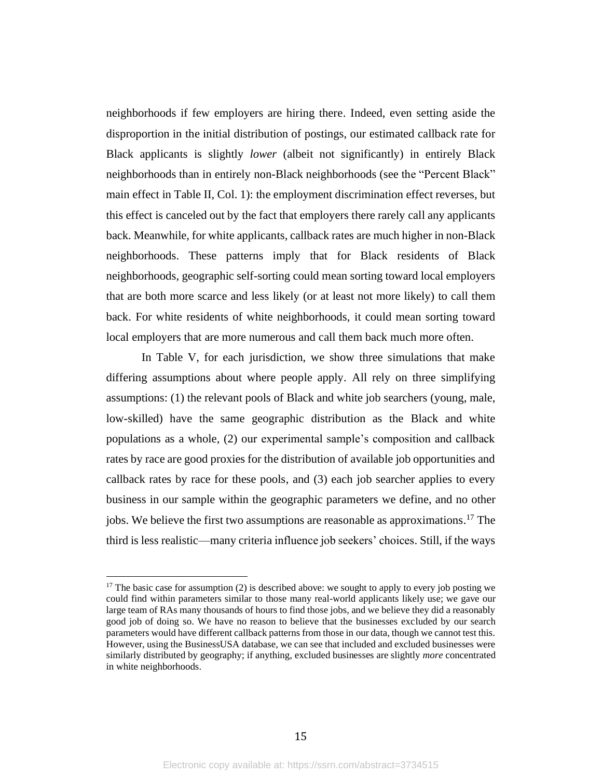neighborhoods if few employers are hiring there. Indeed, even setting aside the disproportion in the initial distribution of postings, our estimated callback rate for Black applicants is slightly *lower* (albeit not significantly) in entirely Black neighborhoods than in entirely non-Black neighborhoods (see the "Percent Black" main effect in Table II, Col. 1): the employment discrimination effect reverses, but this effect is canceled out by the fact that employers there rarely call any applicants back. Meanwhile, for white applicants, callback rates are much higher in non-Black neighborhoods. These patterns imply that for Black residents of Black neighborhoods, geographic self-sorting could mean sorting toward local employers that are both more scarce and less likely (or at least not more likely) to call them back. For white residents of white neighborhoods, it could mean sorting toward local employers that are more numerous and call them back much more often.

In Table V, for each jurisdiction, we show three simulations that make differing assumptions about where people apply. All rely on three simplifying assumptions: (1) the relevant pools of Black and white job searchers (young, male, low-skilled) have the same geographic distribution as the Black and white populations as a whole, (2) our experimental sample's composition and callback rates by race are good proxies for the distribution of available job opportunities and callback rates by race for these pools, and (3) each job searcher applies to every business in our sample within the geographic parameters we define, and no other jobs. We believe the first two assumptions are reasonable as approximations. <sup>17</sup> The third is less realistic—many criteria influence job seekers' choices. Still, if the ways

<sup>&</sup>lt;sup>17</sup> The basic case for assumption (2) is described above: we sought to apply to every job posting we could find within parameters similar to those many real-world applicants likely use; we gave our large team of RAs many thousands of hours to find those jobs, and we believe they did a reasonably good job of doing so. We have no reason to believe that the businesses excluded by our search parameters would have different callback patterns from those in our data, though we cannot test this. However, using the BusinessUSA database, we can see that included and excluded businesses were similarly distributed by geography; if anything, excluded businesses are slightly *more* concentrated in white neighborhoods.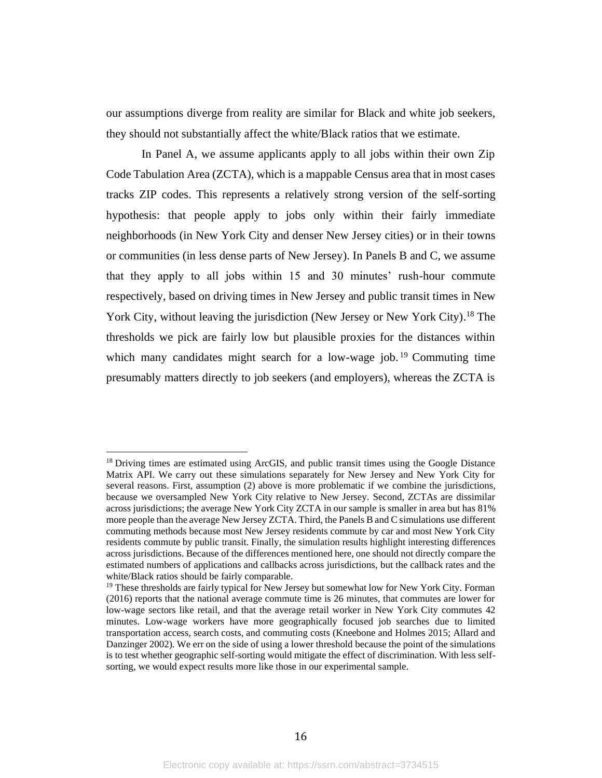our assumptions diverge from reality are similar for Black and white job seekers, they should not substantially affect the white/Black ratios that we estimate.

In Panel A, we assume applicants apply to all jobs within their own Zip Code Tabulation Area (ZCTA), which is a mappable Census area that in most cases tracks ZIP codes. This represents a relatively strong version of the self-sorting hypothesis: that people apply to jobs only within their fairly immediate neighborhoods (in New York City and denser New Jersey cities) or in their towns or communities (in less dense parts of New Jersey). In Panels B and C, we assume that they apply to all jobs within 15 and 30 minutes' rush-hour commute respectively, based on driving times in New Jersey and public transit times in New York City, without leaving the jurisdiction (New Jersey or New York City).<sup>18</sup> The thresholds we pick are fairly low but plausible proxies for the distances within which many candidates might search for a low-wage job. <sup>19</sup> Commuting time presumably matters directly to job seekers (and employers), whereas the ZCTA is

<sup>&</sup>lt;sup>18</sup> Driving times are estimated using ArcGIS, and public transit times using the Google Distance Matrix API. We carry out these simulations separately for New Jersey and New York City for several reasons. First, assumption (2) above is more problematic if we combine the jurisdictions, because we oversampled New York City relative to New Jersey. Second, ZCTAs are dissimilar across jurisdictions; the average New York City ZCTA in our sample is smaller in area but has 81% more people than the average New Jersey ZCTA. Third, the Panels B and C simulations use different commuting methods because most New Jersey residents commute by car and most New York City residents commute by public transit. Finally, the simulation results highlight interesting differences across jurisdictions. Because of the differences mentioned here, one should not directly compare the estimated numbers of applications and callbacks across jurisdictions, but the callback rates and the white/Black ratios should be fairly comparable.

<sup>&</sup>lt;sup>19</sup> These thresholds are fairly typical for New Jersey but somewhat low for New York City. Forman (2016) reports that the national average commute time is 26 minutes, that commutes are lower for low-wage sectors like retail, and that the average retail worker in New York City commutes 42 minutes. Low-wage workers have more geographically focused job searches due to limited transportation access, search costs, and commuting costs (Kneebone and Holmes 2015; Allard and Danzinger 2002). We err on the side of using a lower threshold because the point of the simulations is to test whether geographic self-sorting would mitigate the effect of discrimination. With less selfsorting, we would expect results more like those in our experimental sample.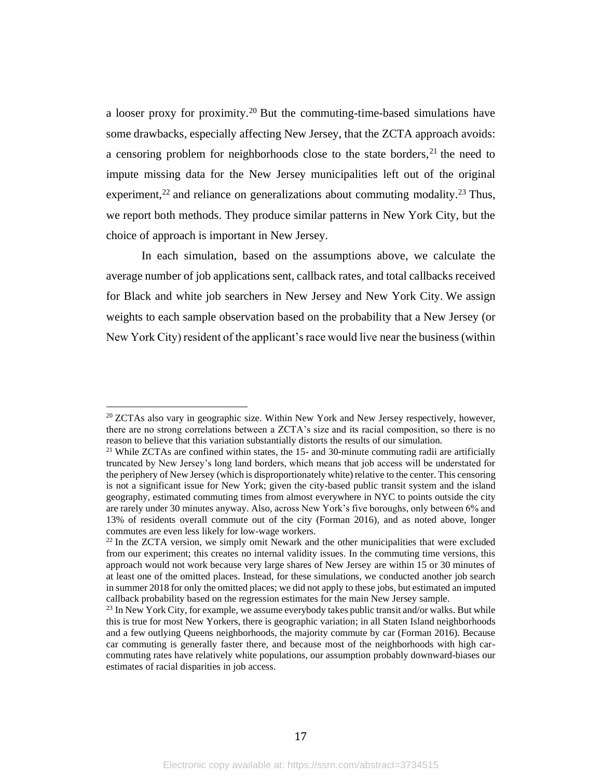a looser proxy for proximity. <sup>20</sup> But the commuting-time-based simulations have some drawbacks, especially affecting New Jersey, that the ZCTA approach avoids: a censoring problem for neighborhoods close to the state borders,  $2<sup>1</sup>$  the need to impute missing data for the New Jersey municipalities left out of the original experiment,<sup>22</sup> and reliance on generalizations about commuting modality.<sup>23</sup> Thus, we report both methods. They produce similar patterns in New York City, but the choice of approach is important in New Jersey.

In each simulation, based on the assumptions above, we calculate the average number of job applications sent, callback rates, and total callbacks received for Black and white job searchers in New Jersey and New York City. We assign weights to each sample observation based on the probability that a New Jersey (or New York City) resident of the applicant's race would live near the business (within

 $20$  ZCTAs also vary in geographic size. Within New York and New Jersey respectively, however, there are no strong correlations between a ZCTA's size and its racial composition, so there is no reason to believe that this variation substantially distorts the results of our simulation.

<sup>&</sup>lt;sup>21</sup> While ZCTAs are confined within states, the  $15$ - and 30-minute commuting radii are artificially truncated by New Jersey's long land borders, which means that job access will be understated for the periphery of New Jersey (which is disproportionately white) relative to the center. This censoring is not a significant issue for New York; given the city-based public transit system and the island geography, estimated commuting times from almost everywhere in NYC to points outside the city are rarely under 30 minutes anyway. Also, across New York's five boroughs, only between 6% and 13% of residents overall commute out of the city (Forman 2016), and as noted above, longer commutes are even less likely for low-wage workers.

 $22$  In the ZCTA version, we simply omit Newark and the other municipalities that were excluded from our experiment; this creates no internal validity issues. In the commuting time versions, this approach would not work because very large shares of New Jersey are within 15 or 30 minutes of at least one of the omitted places. Instead, for these simulations, we conducted another job search in summer 2018 for only the omitted places; we did not apply to these jobs, but estimated an imputed callback probability based on the regression estimates for the main New Jersey sample.

<sup>&</sup>lt;sup>23</sup> In New York City, for example, we assume everybody takes public transit and/or walks. But while this is true for most New Yorkers, there is geographic variation; in all Staten Island neighborhoods and a few outlying Queens neighborhoods, the majority commute by car (Forman 2016). Because car commuting is generally faster there, and because most of the neighborhoods with high carcommuting rates have relatively white populations, our assumption probably downward-biases our estimates of racial disparities in job access.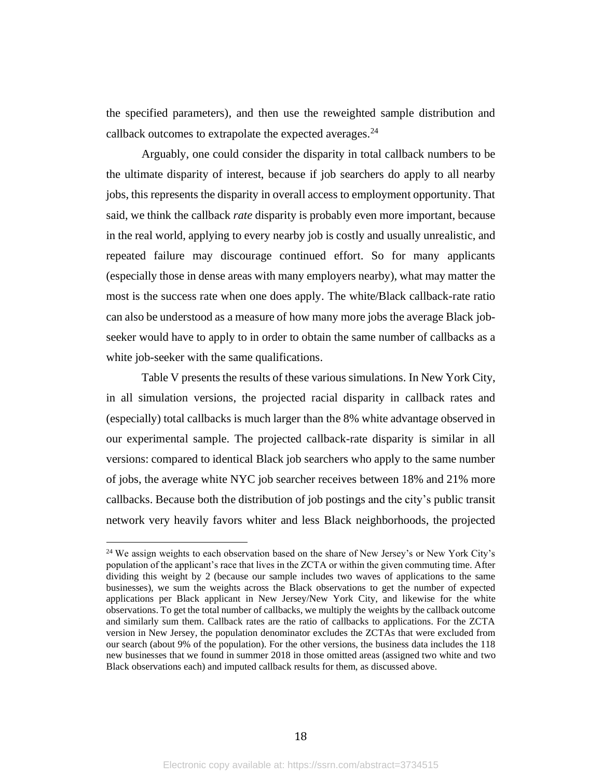the specified parameters), and then use the reweighted sample distribution and callback outcomes to extrapolate the expected averages.<sup>24</sup>

Arguably, one could consider the disparity in total callback numbers to be the ultimate disparity of interest, because if job searchers do apply to all nearby jobs, this represents the disparity in overall access to employment opportunity. That said, we think the callback *rate* disparity is probably even more important, because in the real world, applying to every nearby job is costly and usually unrealistic, and repeated failure may discourage continued effort. So for many applicants (especially those in dense areas with many employers nearby), what may matter the most is the success rate when one does apply. The white/Black callback-rate ratio can also be understood as a measure of how many more jobs the average Black jobseeker would have to apply to in order to obtain the same number of callbacks as a white job-seeker with the same qualifications.

Table V presents the results of these various simulations. In New York City, in all simulation versions, the projected racial disparity in callback rates and (especially) total callbacks is much larger than the 8% white advantage observed in our experimental sample. The projected callback-rate disparity is similar in all versions: compared to identical Black job searchers who apply to the same number of jobs, the average white NYC job searcher receives between 18% and 21% more callbacks. Because both the distribution of job postings and the city's public transit network very heavily favors whiter and less Black neighborhoods, the projected

<sup>&</sup>lt;sup>24</sup> We assign weights to each observation based on the share of New Jersey's or New York City's population of the applicant's race that lives in the ZCTA or within the given commuting time. After dividing this weight by 2 (because our sample includes two waves of applications to the same businesses), we sum the weights across the Black observations to get the number of expected applications per Black applicant in New Jersey/New York City, and likewise for the white observations. To get the total number of callbacks, we multiply the weights by the callback outcome and similarly sum them. Callback rates are the ratio of callbacks to applications. For the ZCTA version in New Jersey, the population denominator excludes the ZCTAs that were excluded from our search (about 9% of the population). For the other versions, the business data includes the 118 new businesses that we found in summer 2018 in those omitted areas (assigned two white and two Black observations each) and imputed callback results for them, as discussed above.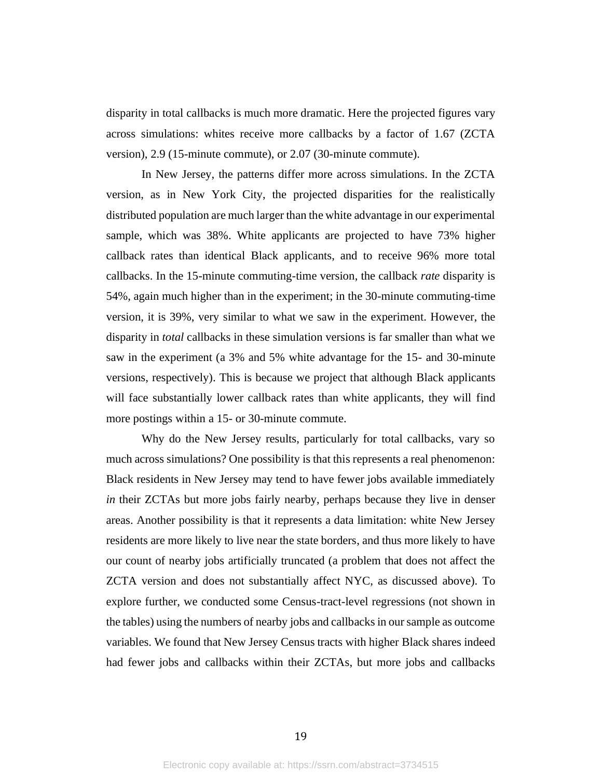disparity in total callbacks is much more dramatic. Here the projected figures vary across simulations: whites receive more callbacks by a factor of 1.67 (ZCTA version), 2.9 (15-minute commute), or 2.07 (30-minute commute).

In New Jersey, the patterns differ more across simulations. In the ZCTA version, as in New York City, the projected disparities for the realistically distributed population are much larger than the white advantage in our experimental sample, which was 38%. White applicants are projected to have 73% higher callback rates than identical Black applicants, and to receive 96% more total callbacks. In the 15-minute commuting-time version, the callback *rate* disparity is 54%, again much higher than in the experiment; in the 30-minute commuting-time version, it is 39%, very similar to what we saw in the experiment. However, the disparity in *total* callbacks in these simulation versions is far smaller than what we saw in the experiment (a 3% and 5% white advantage for the 15- and 30-minute versions, respectively). This is because we project that although Black applicants will face substantially lower callback rates than white applicants, they will find more postings within a 15- or 30-minute commute.

Why do the New Jersey results, particularly for total callbacks, vary so much across simulations? One possibility is that this represents a real phenomenon: Black residents in New Jersey may tend to have fewer jobs available immediately *in* their ZCTAs but more jobs fairly nearby, perhaps because they live in denser areas. Another possibility is that it represents a data limitation: white New Jersey residents are more likely to live near the state borders, and thus more likely to have our count of nearby jobs artificially truncated (a problem that does not affect the ZCTA version and does not substantially affect NYC, as discussed above). To explore further, we conducted some Census-tract-level regressions (not shown in the tables) using the numbers of nearby jobs and callbacks in our sample as outcome variables. We found that New Jersey Census tracts with higher Black shares indeed had fewer jobs and callbacks within their ZCTAs, but more jobs and callbacks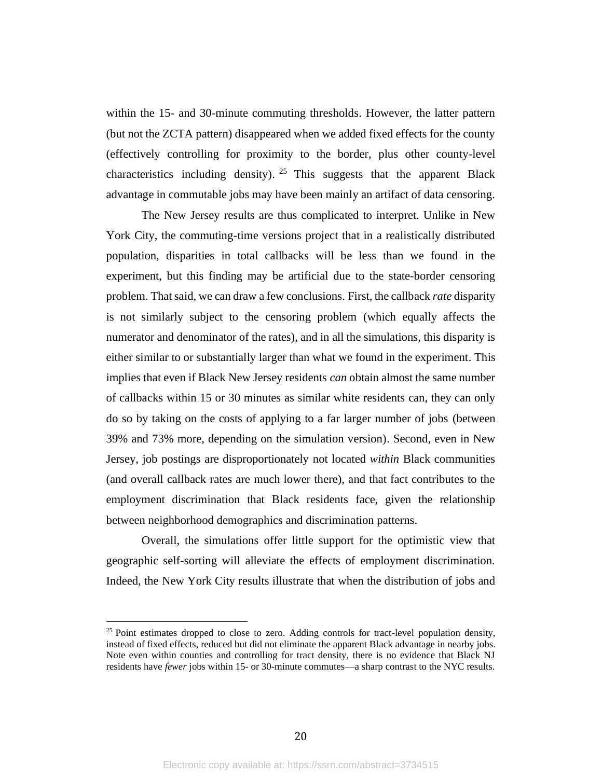within the 15- and 30-minute commuting thresholds. However, the latter pattern (but not the ZCTA pattern) disappeared when we added fixed effects for the county (effectively controlling for proximity to the border, plus other county-level characteristics including density). <sup>25</sup> This suggests that the apparent Black advantage in commutable jobs may have been mainly an artifact of data censoring.

The New Jersey results are thus complicated to interpret. Unlike in New York City, the commuting-time versions project that in a realistically distributed population, disparities in total callbacks will be less than we found in the experiment, but this finding may be artificial due to the state-border censoring problem. That said, we can draw a few conclusions. First, the callback *rate* disparity is not similarly subject to the censoring problem (which equally affects the numerator and denominator of the rates), and in all the simulations, this disparity is either similar to or substantially larger than what we found in the experiment. This implies that even if Black New Jersey residents *can* obtain almost the same number of callbacks within 15 or 30 minutes as similar white residents can, they can only do so by taking on the costs of applying to a far larger number of jobs (between 39% and 73% more, depending on the simulation version). Second, even in New Jersey, job postings are disproportionately not located *within* Black communities (and overall callback rates are much lower there), and that fact contributes to the employment discrimination that Black residents face, given the relationship between neighborhood demographics and discrimination patterns.

Overall, the simulations offer little support for the optimistic view that geographic self-sorting will alleviate the effects of employment discrimination. Indeed, the New York City results illustrate that when the distribution of jobs and

 $25$  Point estimates dropped to close to zero. Adding controls for tract-level population density, instead of fixed effects, reduced but did not eliminate the apparent Black advantage in nearby jobs. Note even within counties and controlling for tract density, there is no evidence that Black NJ residents have *fewer* jobs within 15- or 30-minute commutes—a sharp contrast to the NYC results.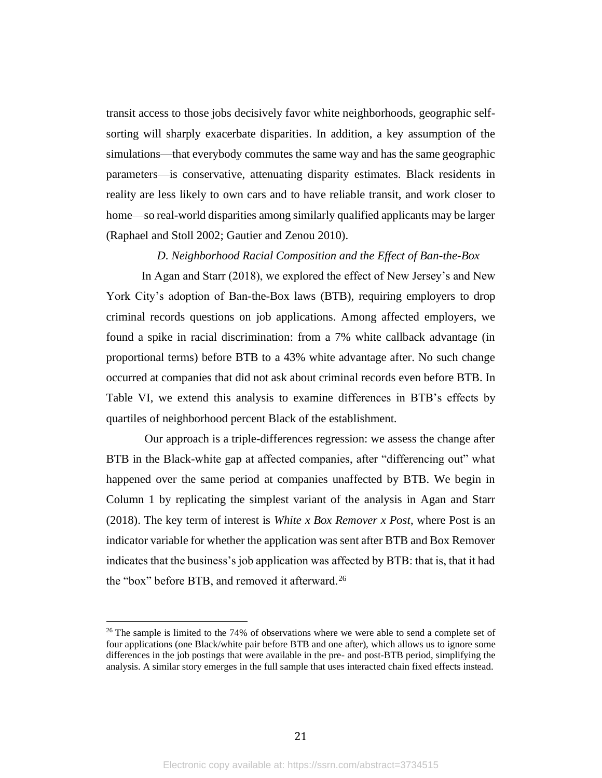transit access to those jobs decisively favor white neighborhoods, geographic selfsorting will sharply exacerbate disparities. In addition, a key assumption of the simulations—that everybody commutes the same way and has the same geographic parameters—is conservative, attenuating disparity estimates. Black residents in reality are less likely to own cars and to have reliable transit, and work closer to home—so real-world disparities among similarly qualified applicants may be larger (Raphael and Stoll 2002; Gautier and Zenou 2010).

### *D. Neighborhood Racial Composition and the Effect of Ban-the-Box*

In Agan and Starr (2018), we explored the effect of New Jersey's and New York City's adoption of Ban-the-Box laws (BTB), requiring employers to drop criminal records questions on job applications. Among affected employers, we found a spike in racial discrimination: from a 7% white callback advantage (in proportional terms) before BTB to a 43% white advantage after. No such change occurred at companies that did not ask about criminal records even before BTB. In Table VI, we extend this analysis to examine differences in BTB's effects by quartiles of neighborhood percent Black of the establishment.

Our approach is a triple-differences regression: we assess the change after BTB in the Black-white gap at affected companies, after "differencing out" what happened over the same period at companies unaffected by BTB. We begin in Column 1 by replicating the simplest variant of the analysis in Agan and Starr (2018). The key term of interest is *White x Box Remover x Post*, where Post is an indicator variable for whether the application was sent after BTB and Box Remover indicates that the business's job application was affected by BTB: that is, that it had the "box" before BTB, and removed it afterward.<sup>26</sup>

 $26$  The sample is limited to the 74% of observations where we were able to send a complete set of four applications (one Black/white pair before BTB and one after), which allows us to ignore some differences in the job postings that were available in the pre- and post-BTB period, simplifying the analysis. A similar story emerges in the full sample that uses interacted chain fixed effects instead.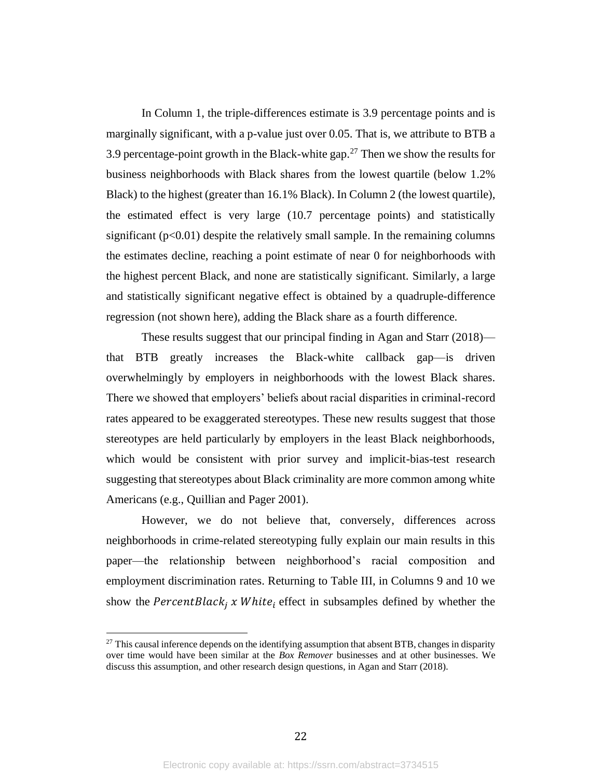In Column 1, the triple-differences estimate is 3.9 percentage points and is marginally significant, with a p-value just over 0.05. That is, we attribute to BTB a 3.9 percentage-point growth in the Black-white gap.<sup>27</sup> Then we show the results for business neighborhoods with Black shares from the lowest quartile (below 1.2% Black) to the highest (greater than 16.1% Black). In Column 2 (the lowest quartile), the estimated effect is very large (10.7 percentage points) and statistically significant  $(p<0.01)$  despite the relatively small sample. In the remaining columns the estimates decline, reaching a point estimate of near 0 for neighborhoods with the highest percent Black, and none are statistically significant. Similarly, a large and statistically significant negative effect is obtained by a quadruple-difference regression (not shown here), adding the Black share as a fourth difference.

These results suggest that our principal finding in Agan and Starr (2018) that BTB greatly increases the Black-white callback gap—is driven overwhelmingly by employers in neighborhoods with the lowest Black shares. There we showed that employers' beliefs about racial disparities in criminal-record rates appeared to be exaggerated stereotypes. These new results suggest that those stereotypes are held particularly by employers in the least Black neighborhoods, which would be consistent with prior survey and implicit-bias-test research suggesting that stereotypes about Black criminality are more common among white Americans (e.g., Quillian and Pager 2001).

However, we do not believe that, conversely, differences across neighborhoods in crime-related stereotyping fully explain our main results in this paper—the relationship between neighborhood's racial composition and employment discrimination rates. Returning to Table III, in Columns 9 and 10 we show the  $PercentBlack_i$  x White, effect in subsamples defined by whether the

 $^{27}$  This causal inference depends on the identifying assumption that absent BTB, changes in disparity over time would have been similar at the *Box Remover* businesses and at other businesses. We discuss this assumption, and other research design questions, in Agan and Starr (2018).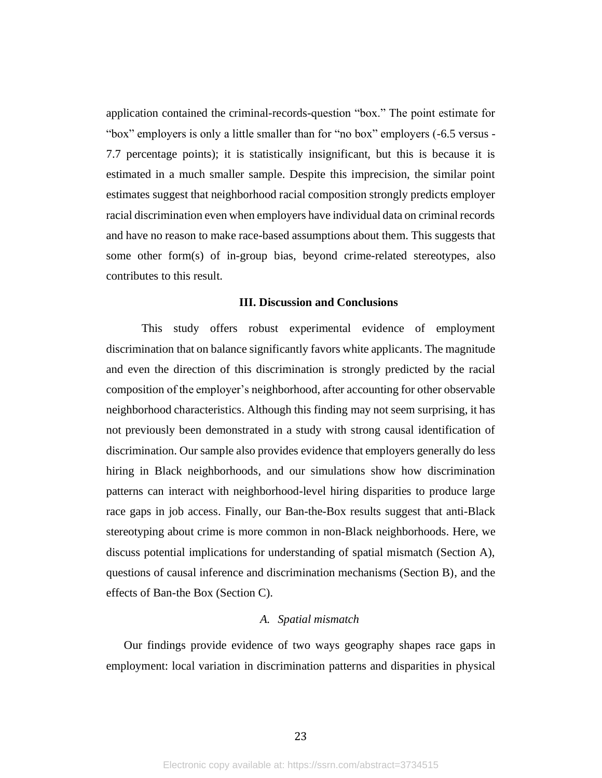application contained the criminal-records-question "box." The point estimate for "box" employers is only a little smaller than for "no box" employers (-6.5 versus - 7.7 percentage points); it is statistically insignificant, but this is because it is estimated in a much smaller sample. Despite this imprecision, the similar point estimates suggest that neighborhood racial composition strongly predicts employer racial discrimination even when employers have individual data on criminal records and have no reason to make race-based assumptions about them. This suggests that some other form(s) of in-group bias, beyond crime-related stereotypes, also contributes to this result.

### **III. Discussion and Conclusions**

This study offers robust experimental evidence of employment discrimination that on balance significantly favors white applicants. The magnitude and even the direction of this discrimination is strongly predicted by the racial composition of the employer's neighborhood, after accounting for other observable neighborhood characteristics. Although this finding may not seem surprising, it has not previously been demonstrated in a study with strong causal identification of discrimination. Our sample also provides evidence that employers generally do less hiring in Black neighborhoods, and our simulations show how discrimination patterns can interact with neighborhood-level hiring disparities to produce large race gaps in job access. Finally, our Ban-the-Box results suggest that anti-Black stereotyping about crime is more common in non-Black neighborhoods. Here, we discuss potential implications for understanding of spatial mismatch (Section A), questions of causal inference and discrimination mechanisms (Section B), and the effects of Ban-the Box (Section C).

#### *A. Spatial mismatch*

Our findings provide evidence of two ways geography shapes race gaps in employment: local variation in discrimination patterns and disparities in physical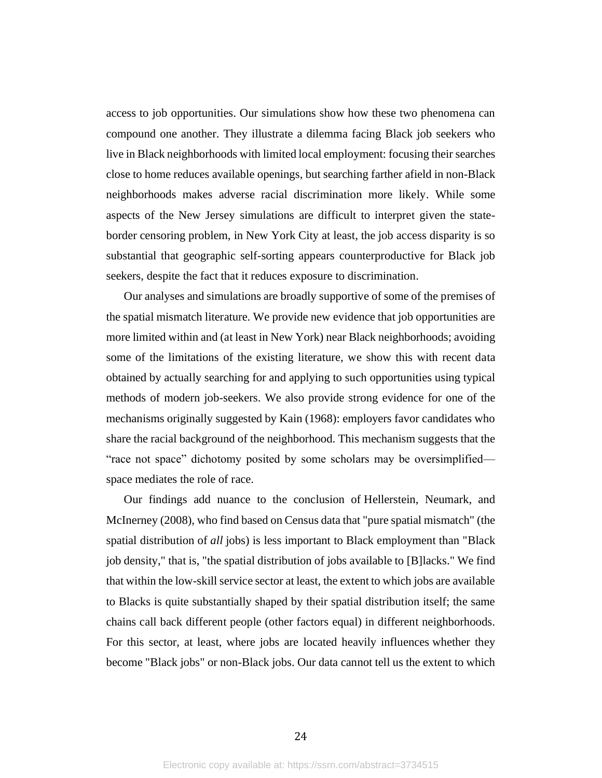access to job opportunities. Our simulations show how these two phenomena can compound one another. They illustrate a dilemma facing Black job seekers who live in Black neighborhoods with limited local employment: focusing their searches close to home reduces available openings, but searching farther afield in non-Black neighborhoods makes adverse racial discrimination more likely. While some aspects of the New Jersey simulations are difficult to interpret given the stateborder censoring problem, in New York City at least, the job access disparity is so substantial that geographic self-sorting appears counterproductive for Black job seekers, despite the fact that it reduces exposure to discrimination.

Our analyses and simulations are broadly supportive of some of the premises of the spatial mismatch literature. We provide new evidence that job opportunities are more limited within and (at least in New York) near Black neighborhoods; avoiding some of the limitations of the existing literature, we show this with recent data obtained by actually searching for and applying to such opportunities using typical methods of modern job-seekers. We also provide strong evidence for one of the mechanisms originally suggested by Kain (1968): employers favor candidates who share the racial background of the neighborhood. This mechanism suggests that the "race not space" dichotomy posited by some scholars may be oversimplified space mediates the role of race.

Our findings add nuance to the conclusion of Hellerstein, Neumark, and McInerney (2008), who find based on Census data that "pure spatial mismatch" (the spatial distribution of *all* jobs) is less important to Black employment than "Black job density," that is, "the spatial distribution of jobs available to [B]lacks." We find that within the low-skill service sector at least, the extent to which jobs are available to Blacks is quite substantially shaped by their spatial distribution itself; the same chains call back different people (other factors equal) in different neighborhoods. For this sector, at least, where jobs are located heavily influences whether they become "Black jobs" or non-Black jobs. Our data cannot tell us the extent to which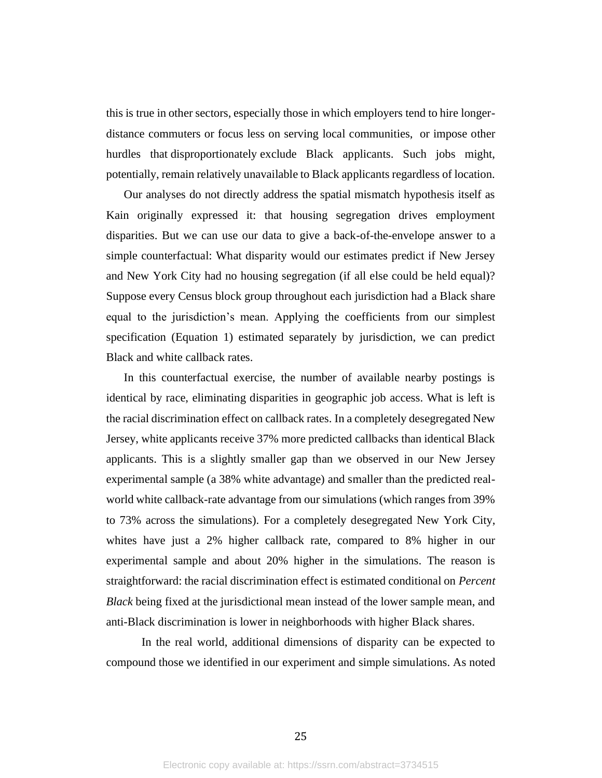this is true in other sectors, especially those in which employers tend to hire longerdistance commuters or focus less on serving local communities, or impose other hurdles that disproportionately exclude Black applicants. Such jobs might, potentially, remain relatively unavailable to Black applicants regardless of location.

Our analyses do not directly address the spatial mismatch hypothesis itself as Kain originally expressed it: that housing segregation drives employment disparities. But we can use our data to give a back-of-the-envelope answer to a simple counterfactual: What disparity would our estimates predict if New Jersey and New York City had no housing segregation (if all else could be held equal)? Suppose every Census block group throughout each jurisdiction had a Black share equal to the jurisdiction's mean. Applying the coefficients from our simplest specification (Equation 1) estimated separately by jurisdiction, we can predict Black and white callback rates.

In this counterfactual exercise, the number of available nearby postings is identical by race, eliminating disparities in geographic job access. What is left is the racial discrimination effect on callback rates. In a completely desegregated New Jersey, white applicants receive 37% more predicted callbacks than identical Black applicants. This is a slightly smaller gap than we observed in our New Jersey experimental sample (a 38% white advantage) and smaller than the predicted realworld white callback-rate advantage from our simulations (which ranges from 39% to 73% across the simulations). For a completely desegregated New York City, whites have just a 2% higher callback rate, compared to 8% higher in our experimental sample and about 20% higher in the simulations. The reason is straightforward: the racial discrimination effect is estimated conditional on *Percent Black* being fixed at the jurisdictional mean instead of the lower sample mean, and anti-Black discrimination is lower in neighborhoods with higher Black shares.

In the real world, additional dimensions of disparity can be expected to compound those we identified in our experiment and simple simulations. As noted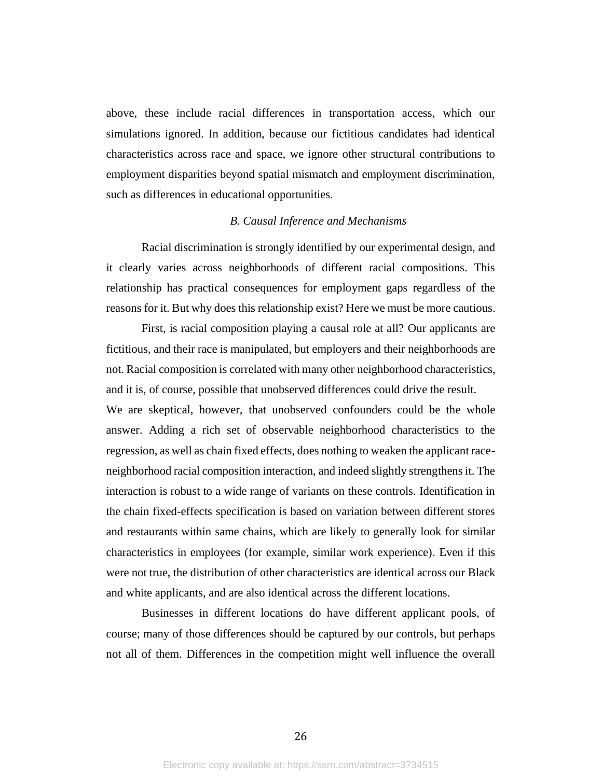above, these include racial differences in transportation access, which our simulations ignored. In addition, because our fictitious candidates had identical characteristics across race and space, we ignore other structural contributions to employment disparities beyond spatial mismatch and employment discrimination, such as differences in educational opportunities.

## *B. Causal Inference and Mechanisms*

Racial discrimination is strongly identified by our experimental design, and it clearly varies across neighborhoods of different racial compositions. This relationship has practical consequences for employment gaps regardless of the reasons for it. But why does this relationship exist? Here we must be more cautious.

First, is racial composition playing a causal role at all? Our applicants are fictitious, and their race is manipulated, but employers and their neighborhoods are not. Racial composition is correlated with many other neighborhood characteristics, and it is, of course, possible that unobserved differences could drive the result. We are skeptical, however, that unobserved confounders could be the whole answer. Adding a rich set of observable neighborhood characteristics to the regression, as well as chain fixed effects, does nothing to weaken the applicant raceneighborhood racial composition interaction, and indeed slightly strengthens it. The interaction is robust to a wide range of variants on these controls. Identification in the chain fixed-effects specification is based on variation between different stores and restaurants within same chains, which are likely to generally look for similar characteristics in employees (for example, similar work experience). Even if this were not true, the distribution of other characteristics are identical across our Black and white applicants, and are also identical across the different locations.

Businesses in different locations do have different applicant pools, of course; many of those differences should be captured by our controls, but perhaps not all of them. Differences in the competition might well influence the overall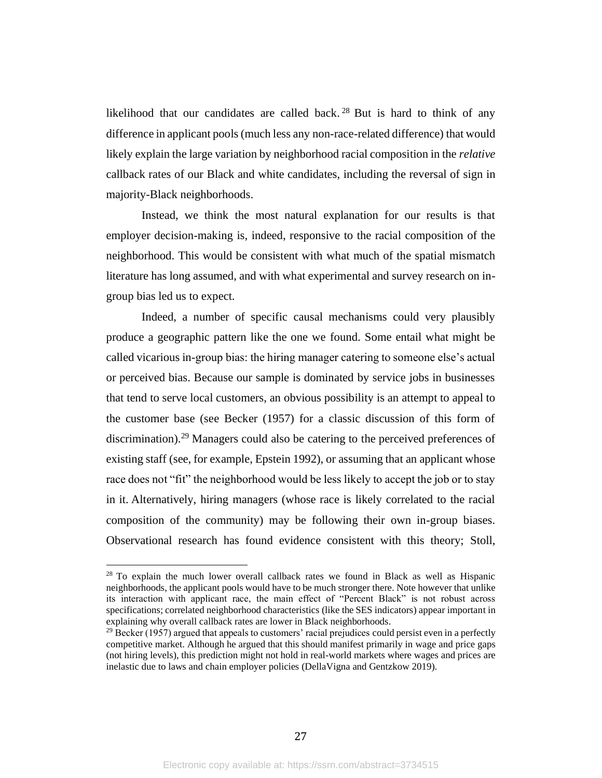likelihood that our candidates are called back.<sup>28</sup> But is hard to think of any difference in applicant pools (much less any non-race-related difference) that would likely explain the large variation by neighborhood racial composition in the *relative*  callback rates of our Black and white candidates, including the reversal of sign in majority-Black neighborhoods.

Instead, we think the most natural explanation for our results is that employer decision-making is, indeed, responsive to the racial composition of the neighborhood. This would be consistent with what much of the spatial mismatch literature has long assumed, and with what experimental and survey research on ingroup bias led us to expect.

Indeed, a number of specific causal mechanisms could very plausibly produce a geographic pattern like the one we found. Some entail what might be called vicarious in-group bias: the hiring manager catering to someone else's actual or perceived bias. Because our sample is dominated by service jobs in businesses that tend to serve local customers, an obvious possibility is an attempt to appeal to the customer base (see Becker (1957) for a classic discussion of this form of discrimination).<sup>29</sup> Managers could also be catering to the perceived preferences of existing staff (see, for example, Epstein 1992), or assuming that an applicant whose race does not "fit" the neighborhood would be less likely to accept the job or to stay in it. Alternatively, hiring managers (whose race is likely correlated to the racial composition of the community) may be following their own in-group biases. Observational research has found evidence consistent with this theory; Stoll,

<sup>&</sup>lt;sup>28</sup> To explain the much lower overall callback rates we found in Black as well as Hispanic neighborhoods, the applicant pools would have to be much stronger there. Note however that unlike its interaction with applicant race, the main effect of "Percent Black" is not robust across specifications; correlated neighborhood characteristics (like the SES indicators) appear important in explaining why overall callback rates are lower in Black neighborhoods.

 $^{29}$  Becker (1957) argued that appeals to customers' racial prejudices could persist even in a perfectly competitive market. Although he argued that this should manifest primarily in wage and price gaps (not hiring levels), this prediction might not hold in real-world markets where wages and prices are inelastic due to laws and chain employer policies (DellaVigna and Gentzkow 2019).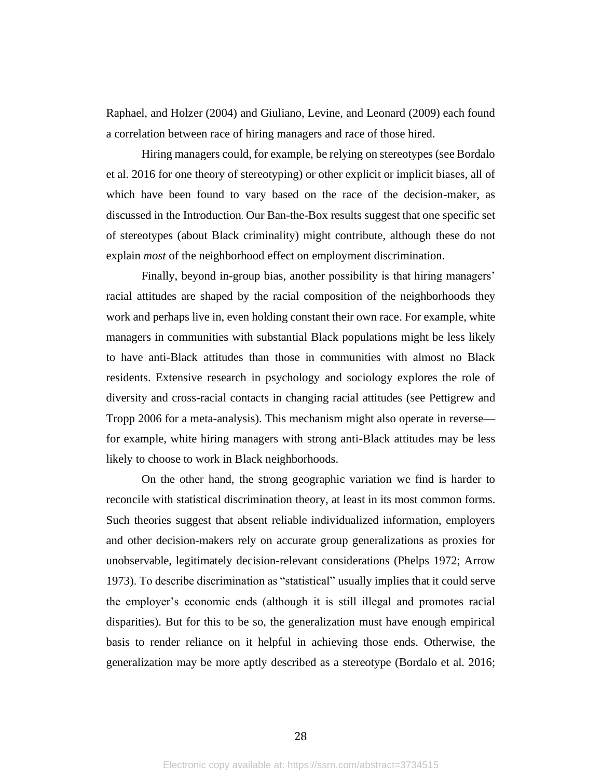Raphael, and Holzer (2004) and Giuliano, Levine, and Leonard (2009) each found a correlation between race of hiring managers and race of those hired.

Hiring managers could, for example, be relying on stereotypes (see Bordalo et al. 2016 for one theory of stereotyping) or other explicit or implicit biases, all of which have been found to vary based on the race of the decision-maker, as discussed in the Introduction. Our Ban-the-Box results suggest that one specific set of stereotypes (about Black criminality) might contribute, although these do not explain *most* of the neighborhood effect on employment discrimination.

Finally, beyond in-group bias, another possibility is that hiring managers' racial attitudes are shaped by the racial composition of the neighborhoods they work and perhaps live in, even holding constant their own race. For example, white managers in communities with substantial Black populations might be less likely to have anti-Black attitudes than those in communities with almost no Black residents. Extensive research in psychology and sociology explores the role of diversity and cross-racial contacts in changing racial attitudes (see Pettigrew and Tropp 2006 for a meta-analysis). This mechanism might also operate in reverse for example, white hiring managers with strong anti-Black attitudes may be less likely to choose to work in Black neighborhoods.

On the other hand, the strong geographic variation we find is harder to reconcile with statistical discrimination theory, at least in its most common forms. Such theories suggest that absent reliable individualized information, employers and other decision-makers rely on accurate group generalizations as proxies for unobservable, legitimately decision-relevant considerations (Phelps 1972; Arrow 1973). To describe discrimination as "statistical" usually implies that it could serve the employer's economic ends (although it is still illegal and promotes racial disparities). But for this to be so, the generalization must have enough empirical basis to render reliance on it helpful in achieving those ends. Otherwise, the generalization may be more aptly described as a stereotype (Bordalo et al. 2016;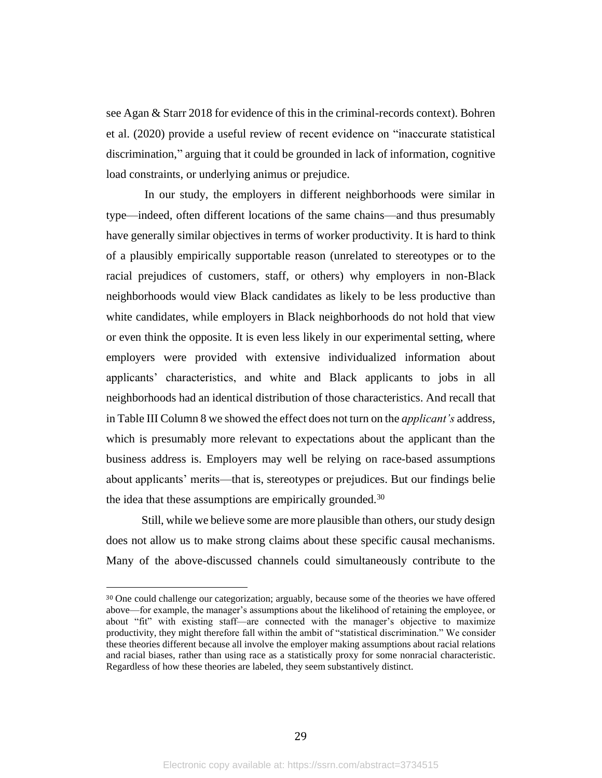see Agan & Starr 2018 for evidence of this in the criminal-records context). Bohren et al. (2020) provide a useful review of recent evidence on "inaccurate statistical discrimination," arguing that it could be grounded in lack of information, cognitive load constraints, or underlying animus or prejudice.

In our study, the employers in different neighborhoods were similar in type—indeed, often different locations of the same chains—and thus presumably have generally similar objectives in terms of worker productivity. It is hard to think of a plausibly empirically supportable reason (unrelated to stereotypes or to the racial prejudices of customers, staff, or others) why employers in non-Black neighborhoods would view Black candidates as likely to be less productive than white candidates, while employers in Black neighborhoods do not hold that view or even think the opposite. It is even less likely in our experimental setting, where employers were provided with extensive individualized information about applicants' characteristics, and white and Black applicants to jobs in all neighborhoods had an identical distribution of those characteristics. And recall that in Table III Column 8 we showed the effect does not turn on the *applicant's* address, which is presumably more relevant to expectations about the applicant than the business address is. Employers may well be relying on race-based assumptions about applicants' merits—that is, stereotypes or prejudices. But our findings belie the idea that these assumptions are empirically grounded.<sup>30</sup>

Still, while we believe some are more plausible than others, our study design does not allow us to make strong claims about these specific causal mechanisms. Many of the above-discussed channels could simultaneously contribute to the

<sup>30</sup> One could challenge our categorization; arguably, because some of the theories we have offered above—for example, the manager's assumptions about the likelihood of retaining the employee, or about "fit" with existing staff—are connected with the manager's objective to maximize productivity, they might therefore fall within the ambit of "statistical discrimination." We consider these theories different because all involve the employer making assumptions about racial relations and racial biases, rather than using race as a statistically proxy for some nonracial characteristic. Regardless of how these theories are labeled, they seem substantively distinct.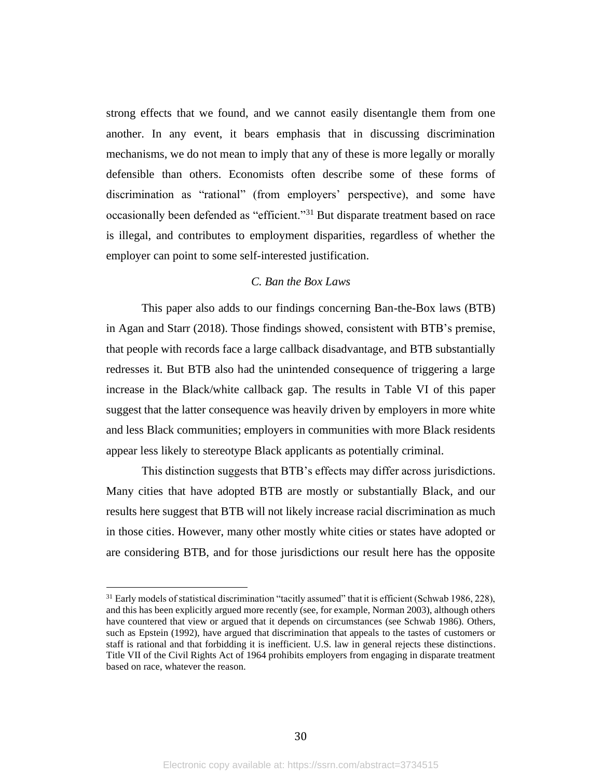strong effects that we found, and we cannot easily disentangle them from one another. In any event, it bears emphasis that in discussing discrimination mechanisms, we do not mean to imply that any of these is more legally or morally defensible than others. Economists often describe some of these forms of discrimination as "rational" (from employers' perspective), and some have occasionally been defended as "efficient."<sup>31</sup> But disparate treatment based on race is illegal, and contributes to employment disparities, regardless of whether the employer can point to some self-interested justification.

## *C. Ban the Box Laws*

This paper also adds to our findings concerning Ban-the-Box laws (BTB) in Agan and Starr (2018). Those findings showed, consistent with BTB's premise, that people with records face a large callback disadvantage, and BTB substantially redresses it. But BTB also had the unintended consequence of triggering a large increase in the Black/white callback gap. The results in Table VI of this paper suggest that the latter consequence was heavily driven by employers in more white and less Black communities; employers in communities with more Black residents appear less likely to stereotype Black applicants as potentially criminal.

This distinction suggests that BTB's effects may differ across jurisdictions. Many cities that have adopted BTB are mostly or substantially Black, and our results here suggest that BTB will not likely increase racial discrimination as much in those cities. However, many other mostly white cities or states have adopted or are considering BTB, and for those jurisdictions our result here has the opposite

 $31$  Early models of statistical discrimination "tacitly assumed" that it is efficient (Schwab 1986, 228), and this has been explicitly argued more recently (see, for example, Norman 2003), although others have countered that view or argued that it depends on circumstances (see Schwab 1986). Others, such as Epstein (1992), have argued that discrimination that appeals to the tastes of customers or staff is rational and that forbidding it is inefficient. U.S. law in general rejects these distinctions. Title VII of the Civil Rights Act of 1964 prohibits employers from engaging in disparate treatment based on race, whatever the reason.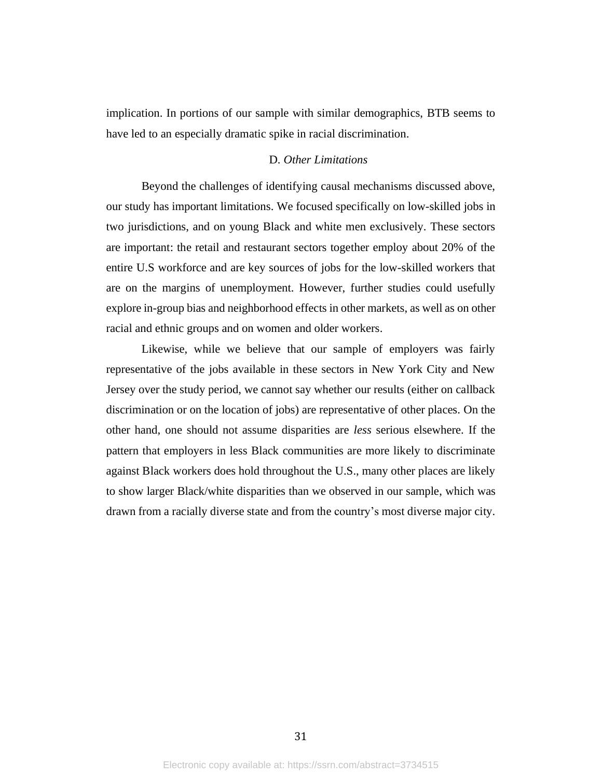implication. In portions of our sample with similar demographics, BTB seems to have led to an especially dramatic spike in racial discrimination.

#### D*. Other Limitations*

Beyond the challenges of identifying causal mechanisms discussed above, our study has important limitations. We focused specifically on low-skilled jobs in two jurisdictions, and on young Black and white men exclusively. These sectors are important: the retail and restaurant sectors together employ about 20% of the entire U.S workforce and are key sources of jobs for the low-skilled workers that are on the margins of unemployment. However, further studies could usefully explore in-group bias and neighborhood effects in other markets, as well as on other racial and ethnic groups and on women and older workers.

Likewise, while we believe that our sample of employers was fairly representative of the jobs available in these sectors in New York City and New Jersey over the study period, we cannot say whether our results (either on callback discrimination or on the location of jobs) are representative of other places. On the other hand, one should not assume disparities are *less* serious elsewhere. If the pattern that employers in less Black communities are more likely to discriminate against Black workers does hold throughout the U.S., many other places are likely to show larger Black/white disparities than we observed in our sample, which was drawn from a racially diverse state and from the country's most diverse major city.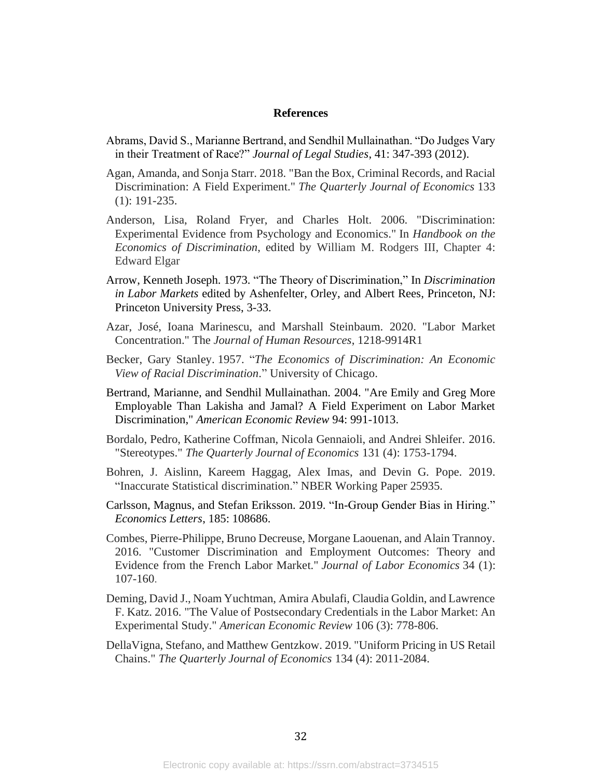#### **References**

- Abrams, David S., Marianne Bertrand, and Sendhil Mullainathan. "Do Judges Vary in their Treatment of Race?" *Journal of Legal Studies*, 41: 347-393 (2012).
- Agan, Amanda, and Sonja Starr. 2018. "Ban the Box, Criminal Records, and Racial Discrimination: A Field Experiment." *The Quarterly Journal of Economics* 133 (1): 191-235.
- Anderson, Lisa, Roland Fryer, and Charles Holt. 2006. "Discrimination: Experimental Evidence from Psychology and Economics." In *Handbook on the Economics of Discrimination*, edited by William M. Rodgers III, Chapter 4: Edward Elgar
- Arrow, Kenneth Joseph. 1973. "The Theory of Discrimination," In *Discrimination in Labor Markets* edited by Ashenfelter, Orley, and Albert Rees, Princeton, NJ: Princeton University Press, 3-33.
- Azar, José, Ioana Marinescu, and Marshall Steinbaum. 2020. "Labor Market Concentration." The *Journal of Human Resources*, 1218-9914R1
- Becker, Gary Stanley. 1957. "*The Economics of Discrimination: An Economic View of Racial Discrimination*." University of Chicago.
- Bertrand, Marianne, and Sendhil Mullainathan. 2004. "Are Emily and Greg More Employable Than Lakisha and Jamal? A Field Experiment on Labor Market Discrimination," *American Economic Review* 94: 991-1013.
- Bordalo, Pedro, Katherine Coffman, Nicola Gennaioli, and Andrei Shleifer. 2016. "Stereotypes." *The Quarterly Journal of Economics* 131 (4): 1753-1794.
- Bohren, J. Aislinn, Kareem Haggag, Alex Imas, and Devin G. Pope. 2019. "Inaccurate Statistical discrimination." NBER Working Paper 25935.
- Carlsson, Magnus, and Stefan Eriksson. 2019. "In-Group Gender Bias in Hiring." *Economics Letters*, 185: 108686.
- Combes, Pierre-Philippe, Bruno Decreuse, Morgane Laouenan, and Alain Trannoy. 2016. "Customer Discrimination and Employment Outcomes: Theory and Evidence from the French Labor Market." *Journal of Labor Economics* 34 (1): 107-160.
- Deming, David J., Noam Yuchtman, Amira Abulafi, Claudia Goldin, and Lawrence F. Katz. 2016. "The Value of Postsecondary Credentials in the Labor Market: An Experimental Study." *American Economic Review* 106 (3): 778-806.
- DellaVigna, Stefano, and Matthew Gentzkow. 2019. "Uniform Pricing in US Retail Chains." *The Quarterly Journal of Economics* 134 (4): 2011-2084.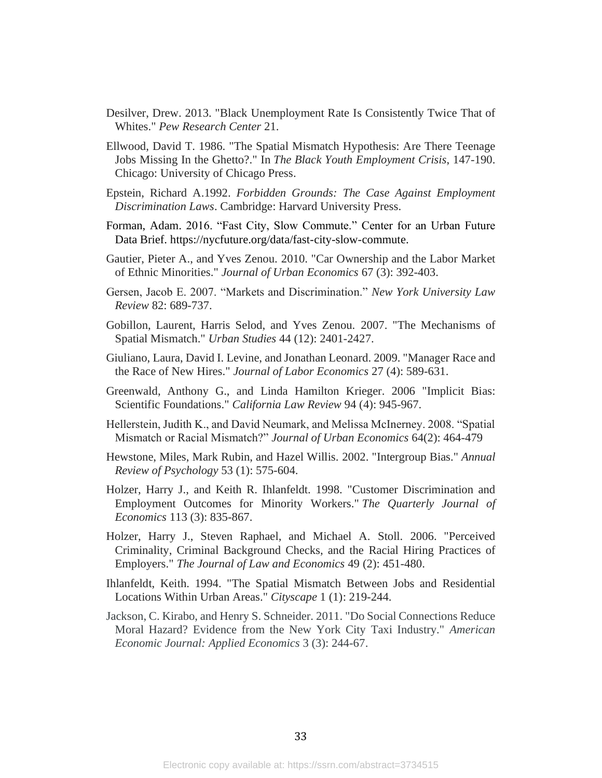- Desilver, Drew. 2013. "Black Unemployment Rate Is Consistently Twice That of Whites." *Pew Research Center* 21.
- Ellwood, David T. 1986. "The Spatial Mismatch Hypothesis: Are There Teenage Jobs Missing In the Ghetto?." In *The Black Youth Employment Crisis*, 147-190. Chicago: University of Chicago Press.
- Epstein, Richard A.1992. *Forbidden Grounds: The Case Against Employment Discrimination Laws*. Cambridge: Harvard University Press.
- Forman, Adam. 2016. "Fast City, Slow Commute." Center for an Urban Future Data Brief. [https://nycfuture.org/data/fast-city-slow-commute.](https://nycfuture.org/data/fast-city-slow-commute)
- Gautier, Pieter A., and Yves Zenou. 2010. "Car Ownership and the Labor Market of Ethnic Minorities." *Journal of Urban Economics* 67 (3): 392-403.
- Gersen, Jacob E. 2007. "Markets and Discrimination." *New York University Law Review* 82: 689-737.
- Gobillon, Laurent, Harris Selod, and Yves Zenou. 2007. "The Mechanisms of Spatial Mismatch." *Urban Studies* 44 (12): 2401-2427.
- Giuliano, Laura, David I. Levine, and Jonathan Leonard. 2009. "Manager Race and the Race of New Hires." *Journal of Labor Economics* 27 (4): 589-631.
- Greenwald, Anthony G., and Linda Hamilton Krieger. 2006 "Implicit Bias: Scientific Foundations." *California Law Review* 94 (4): 945-967.
- Hellerstein, Judith K., and David Neumark, and Melissa McInerney. 2008. "Spatial Mismatch or Racial Mismatch?" *Journal of Urban Economics* 64(2): 464-479
- Hewstone, Miles, Mark Rubin, and Hazel Willis. 2002. "Intergroup Bias." *Annual Review of Psychology* 53 (1): 575-604.
- Holzer, Harry J., and Keith R. Ihlanfeldt. 1998. "Customer Discrimination and Employment Outcomes for Minority Workers." *The Quarterly Journal of Economics* 113 (3): 835-867.
- Holzer, Harry J., Steven Raphael, and Michael A. Stoll. 2006. "Perceived Criminality, Criminal Background Checks, and the Racial Hiring Practices of Employers." *The Journal of Law and Economics* 49 (2): 451-480.
- Ihlanfeldt, Keith. 1994. "The Spatial Mismatch Between Jobs and Residential Locations Within Urban Areas." *Cityscape* 1 (1): 219-244.
- Jackson, C. Kirabo, and Henry S. Schneider. 2011. "Do Social Connections Reduce Moral Hazard? Evidence from the New York City Taxi Industry." *American Economic Journal: Applied Economics* 3 (3): 244-67.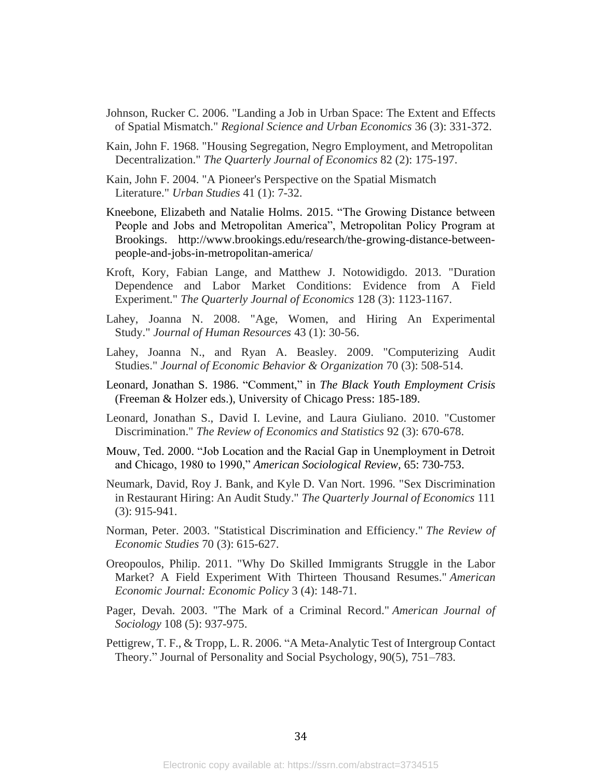- Johnson, Rucker C. 2006. "Landing a Job in Urban Space: The Extent and Effects of Spatial Mismatch." *Regional Science and Urban Economics* 36 (3): 331-372.
- Kain, John F. 1968. "Housing Segregation, Negro Employment, and Metropolitan Decentralization." *The Quarterly Journal of Economics* 82 (2): 175-197.
- Kain, John F. 2004. "A Pioneer's Perspective on the Spatial Mismatch Literature." *Urban Studies* 41 (1): 7-32.
- Kneebone, Elizabeth and Natalie Holms. 2015. "The Growing Distance between People and Jobs and Metropolitan America", Metropolitan Policy Program at Brookings. http://www.brookings.edu/research/the-growing-distance-betweenpeople-and-jobs-in-metropolitan-america/
- Kroft, Kory, Fabian Lange, and Matthew J. Notowidigdo. 2013. "Duration Dependence and Labor Market Conditions: Evidence from A Field Experiment." *The Quarterly Journal of Economics* 128 (3): 1123-1167.
- Lahey, Joanna N. 2008. "Age, Women, and Hiring An Experimental Study." *Journal of Human Resources* 43 (1): 30-56.
- Lahey, Joanna N., and Ryan A. Beasley. 2009. "Computerizing Audit Studies." *Journal of Economic Behavior & Organization* 70 (3): 508-514.
- Leonard, Jonathan S. 1986. "Comment," in *The Black Youth Employment Crisis* (Freeman & Holzer eds.), University of Chicago Press: 185-189.
- Leonard, Jonathan S., David I. Levine, and Laura Giuliano. 2010. "Customer Discrimination." *The Review of Economics and Statistics* 92 (3): 670-678.
- Mouw, Ted. 2000. "Job Location and the Racial Gap in Unemployment in Detroit and Chicago, 1980 to 1990," *American Sociological Review,* 65: 730-753.
- Neumark, David, Roy J. Bank, and Kyle D. Van Nort. 1996. "Sex Discrimination in Restaurant Hiring: An Audit Study." *The Quarterly Journal of Economics* 111 (3): 915-941.
- Norman, Peter. 2003. "Statistical Discrimination and Efficiency." *The Review of Economic Studies* 70 (3): 615-627.
- Oreopoulos, Philip. 2011. "Why Do Skilled Immigrants Struggle in the Labor Market? A Field Experiment With Thirteen Thousand Resumes." *American Economic Journal: Economic Policy* 3 (4): 148-71.
- Pager, Devah. 2003. "The Mark of a Criminal Record." *American Journal of Sociology* 108 (5): 937-975.
- Pettigrew, T. F., & Tropp, L. R. 2006. "A Meta-Analytic Test of Intergroup Contact Theory." Journal of Personality and Social Psychology, 90(5), 751–783.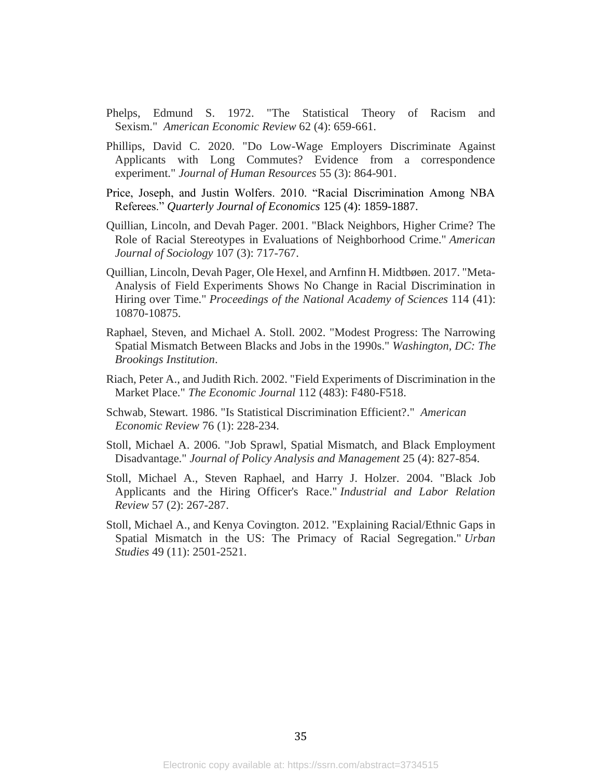- Phelps, Edmund S. 1972. "The Statistical Theory of Racism and Sexism." *American Economic Review* 62 (4): 659-661.
- Phillips, David C. 2020. "Do Low-Wage Employers Discriminate Against Applicants with Long Commutes? Evidence from a correspondence experiment." *Journal of Human Resources* 55 (3): 864-901.
- Price, Joseph, and Justin Wolfers. 2010. "Racial Discrimination Among NBA Referees." *Quarterly Journal of Economics* 125 (4): 1859-1887.
- Quillian, Lincoln, and Devah Pager. 2001. "Black Neighbors, Higher Crime? The Role of Racial Stereotypes in Evaluations of Neighborhood Crime." *American Journal of Sociology* 107 (3): 717-767.
- Quillian, Lincoln, Devah Pager, Ole Hexel, and Arnfinn H. Midtbøen. 2017. "Meta-Analysis of Field Experiments Shows No Change in Racial Discrimination in Hiring over Time." *Proceedings of the National Academy of Sciences* 114 (41): 10870-10875.
- Raphael, Steven, and Michael A. Stoll. 2002. "Modest Progress: The Narrowing Spatial Mismatch Between Blacks and Jobs in the 1990s." *Washington, DC: The Brookings Institution*.
- Riach, Peter A., and Judith Rich. 2002. "Field Experiments of Discrimination in the Market Place." *The Economic Journal* 112 (483): F480-F518.
- Schwab, Stewart. 1986. "Is Statistical Discrimination Efficient?." *American Economic Review* 76 (1): 228-234.
- Stoll, Michael A. 2006. "Job Sprawl, Spatial Mismatch, and Black Employment Disadvantage." *Journal of Policy Analysis and Management* 25 (4): 827-854.
- Stoll, Michael A., Steven Raphael, and Harry J. Holzer. 2004. "Black Job Applicants and the Hiring Officer's Race." *Industrial and Labor Relation Review* 57 (2): 267-287.
- Stoll, Michael A., and Kenya Covington. 2012. "Explaining Racial/Ethnic Gaps in Spatial Mismatch in the US: The Primacy of Racial Segregation." *Urban Studies* 49 (11): 2501-2521.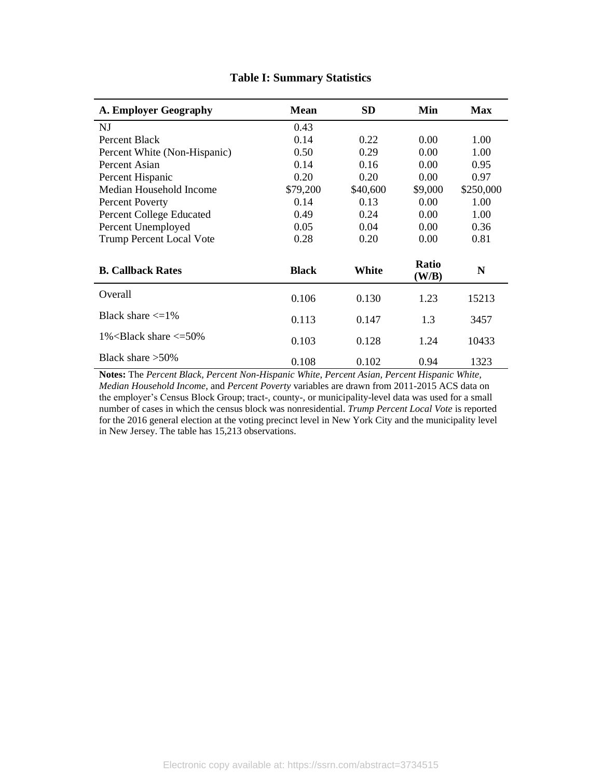| <b>A. Employer Geography</b>                    | <b>Mean</b>  | <b>SD</b> | Min            | <b>Max</b>  |
|-------------------------------------------------|--------------|-----------|----------------|-------------|
| NJ                                              | 0.43         |           |                |             |
| Percent Black                                   | 0.14         | 0.22      | 0.00           | 1.00        |
| Percent White (Non-Hispanic)                    | 0.50         | 0.29      | 0.00           | 1.00        |
| Percent Asian                                   | 0.14         | 0.16      | 0.00           | 0.95        |
| Percent Hispanic                                | 0.20         | 0.20      | 0.00           | 0.97        |
| Median Household Income                         | \$79,200     | \$40,600  | \$9,000        | \$250,000   |
| <b>Percent Poverty</b>                          | 0.14         | 0.13      | 0.00           | 1.00        |
| Percent College Educated                        | 0.49         | 0.24      | 0.00           | 1.00        |
| Percent Unemployed                              | 0.05         | 0.04      | 0.00           | 0.36        |
| <b>Trump Percent Local Vote</b>                 | 0.28         | 0.20      | 0.00           | 0.81        |
| <b>B. Callback Rates</b>                        | <b>Black</b> | White     | Ratio<br>(W/B) | $\mathbf N$ |
| Overall                                         | 0.106        | 0.130     | 1.23           | 15213       |
| Black share $\leq 1\%$                          | 0.113        | 0.147     | 1.3            | 3457        |
| $1\%$ <black <math="" share="">\leq=50%</black> | 0.103        | 0.128     | 1.24           | 10433       |
| Black share $>50\%$                             | 0.108        | 0.102     | 0.94           | 1323        |

# **Table I: Summary Statistics**

**Notes:** The *Percent Black, Percent Non-Hispanic White*, *Percent Asian, Percent Hispanic White, Median Household Income*, and *Percent Poverty* variables are drawn from 2011-2015 ACS data on the employer's Census Block Group; tract-, county-, or municipality-level data was used for a small number of cases in which the census block was nonresidential. *Trump Percent Local Vote* is reported for the 2016 general election at the voting precinct level in New York City and the municipality level in New Jersey. The table has 15,213 observations.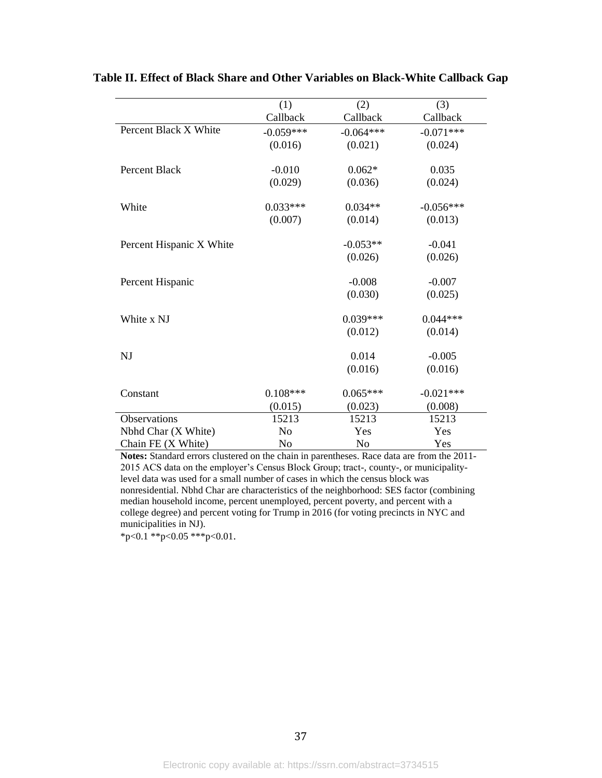|                          | (1)            | (2)         | (3)         |
|--------------------------|----------------|-------------|-------------|
|                          | Callback       | Callback    | Callback    |
| Percent Black X White    | $-0.059***$    | $-0.064***$ | $-0.071***$ |
|                          | (0.016)        | (0.021)     | (0.024)     |
| Percent Black            | $-0.010$       | $0.062*$    | 0.035       |
|                          | (0.029)        | (0.036)     | (0.024)     |
| White                    | $0.033***$     | $0.034**$   | $-0.056***$ |
|                          | (0.007)        | (0.014)     | (0.013)     |
| Percent Hispanic X White |                | $-0.053**$  | $-0.041$    |
|                          |                | (0.026)     | (0.026)     |
| Percent Hispanic         |                | $-0.008$    | $-0.007$    |
|                          |                | (0.030)     | (0.025)     |
| White x NJ               |                | $0.039***$  | $0.044***$  |
|                          |                | (0.012)     | (0.014)     |
| NJ                       |                | 0.014       | $-0.005$    |
|                          |                | (0.016)     | (0.016)     |
| Constant                 | $0.108***$     | $0.065***$  | $-0.021***$ |
|                          | (0.015)        | (0.023)     | (0.008)     |
| Observations             | 15213          | 15213       | 15213       |
| Nbhd Char (X White)      | N <sub>o</sub> | Yes         | Yes         |
| Chain FE (X White)       | N <sub>o</sub> | No          | Yes         |

**Table II. Effect of Black Share and Other Variables on Black-White Callback Gap**

**Notes:** Standard errors clustered on the chain in parentheses. Race data are from the 2011- 2015 ACS data on the employer's Census Block Group; tract-, county-, or municipalitylevel data was used for a small number of cases in which the census block was nonresidential. Nbhd Char are characteristics of the neighborhood: SES factor (combining median household income, percent unemployed, percent poverty, and percent with a college degree) and percent voting for Trump in 2016 (for voting precincts in NYC and municipalities in NJ).

 $*p<0.1$  \*\*p<0.05 \*\*\*p<0.01.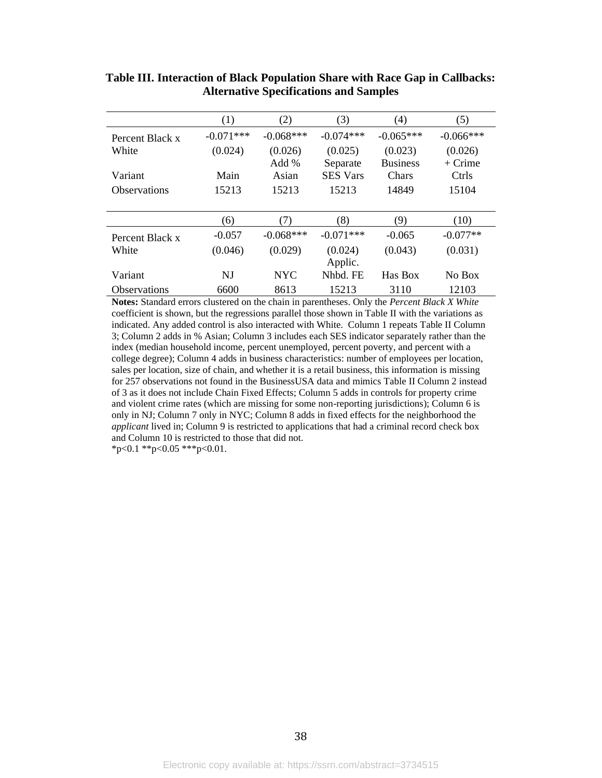|                     | (1)         | (2)              | (3)                 | (4)                        | (5)                  |
|---------------------|-------------|------------------|---------------------|----------------------------|----------------------|
| Percent Black x     | $-0.071***$ | $-0.068***$      | $-0.074***$         | $-0.065***$                | $-0.066***$          |
| White               | (0.024)     | (0.026)<br>Add % | (0.025)<br>Separate | (0.023)<br><b>Business</b> | (0.026)<br>$+$ Crime |
| Variant             | Main        | Asian            | <b>SES Vars</b>     | Chars                      | Ctrls                |
| <b>Observations</b> | 15213       | 15213            | 15213               | 14849                      | 15104                |
|                     |             |                  |                     |                            |                      |
|                     | (6)         | (7)              | (8)                 | (9)                        | (10)                 |
| Percent Black x     | $-0.057$    | $-0.068***$      | $-0.071***$         | $-0.065$                   | $-0.077**$           |
| White               | (0.046)     |                  |                     |                            |                      |
|                     |             | (0.029)          | (0.024)<br>Applic.  | (0.043)                    | (0.031)              |
| Variant             | NJ          | <b>NYC</b>       | Nhbd. FE            | Has Box                    | No Box               |

**Table III. Interaction of Black Population Share with Race Gap in Callbacks: Alternative Specifications and Samples**

**Notes:** Standard errors clustered on the chain in parentheses. Only the *Percent Black X White*  coefficient is shown, but the regressions parallel those shown in Table II with the variations as indicated. Any added control is also interacted with White. Column 1 repeats Table II Column 3; Column 2 adds in % Asian; Column 3 includes each SES indicator separately rather than the index (median household income, percent unemployed, percent poverty, and percent with a college degree); Column 4 adds in business characteristics: number of employees per location, sales per location, size of chain, and whether it is a retail business, this information is missing for 257 observations not found in the BusinessUSA data and mimics Table II Column 2 instead of 3 as it does not include Chain Fixed Effects; Column 5 adds in controls for property crime and violent crime rates (which are missing for some non-reporting jurisdictions); Column 6 is only in NJ; Column 7 only in NYC; Column 8 adds in fixed effects for the neighborhood the *applicant* lived in; Column 9 is restricted to applications that had a criminal record check box and Column 10 is restricted to those that did not.

 $*p<0.1$  \*\*p<0.05 \*\*\*p<0.01.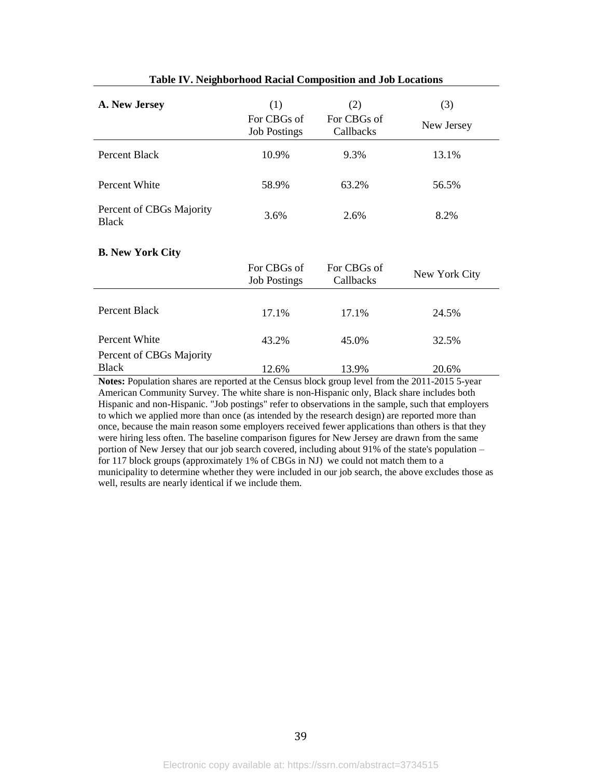| A. New Jersey                                                                                                    | (1)<br>For CBGs of<br><b>Job Postings</b> | (2)<br>For CBGs of<br>Callbacks | (3)<br>New Jersey |
|------------------------------------------------------------------------------------------------------------------|-------------------------------------------|---------------------------------|-------------------|
| Percent Black                                                                                                    | 10.9%                                     | 9.3%                            | 13.1%             |
| Percent White                                                                                                    | 58.9%                                     | 63.2%                           | 56.5%             |
| Percent of CBGs Majority<br><b>Black</b>                                                                         | 3.6%                                      | 2.6%                            | 8.2%              |
| <b>B.</b> New York City                                                                                          |                                           |                                 |                   |
|                                                                                                                  | For CBGs of<br><b>Job Postings</b>        | For CBGs of<br>Callbacks        | New York City     |
| Percent Black                                                                                                    | 17.1%                                     | 17.1%                           | 24.5%             |
| Percent White                                                                                                    | 43.2%                                     | 45.0%                           | 32.5%             |
| Percent of CBGs Majority                                                                                         |                                           |                                 |                   |
| <b>Black</b><br>Notes: Population shares are reported at the Census block group level from the 2011 2015 5 year. | 12.6%                                     | 13.9%                           | 20.6%             |

| <b>Table IV. Neighborhood Racial Composition and Job Locations</b> |  |  |  |  |  |  |  |
|--------------------------------------------------------------------|--|--|--|--|--|--|--|
|--------------------------------------------------------------------|--|--|--|--|--|--|--|

**Notes:** Population shares are reported at the Census block group level from the 2011-2015 5-year American Community Survey. The white share is non-Hispanic only, Black share includes both Hispanic and non-Hispanic. "Job postings" refer to observations in the sample, such that employers to which we applied more than once (as intended by the research design) are reported more than once, because the main reason some employers received fewer applications than others is that they were hiring less often. The baseline comparison figures for New Jersey are drawn from the same portion of New Jersey that our job search covered, including about 91% of the state's population – for 117 block groups (approximately 1% of CBGs in NJ) we could not match them to a municipality to determine whether they were included in our job search, the above excludes those as well, results are nearly identical if we include them.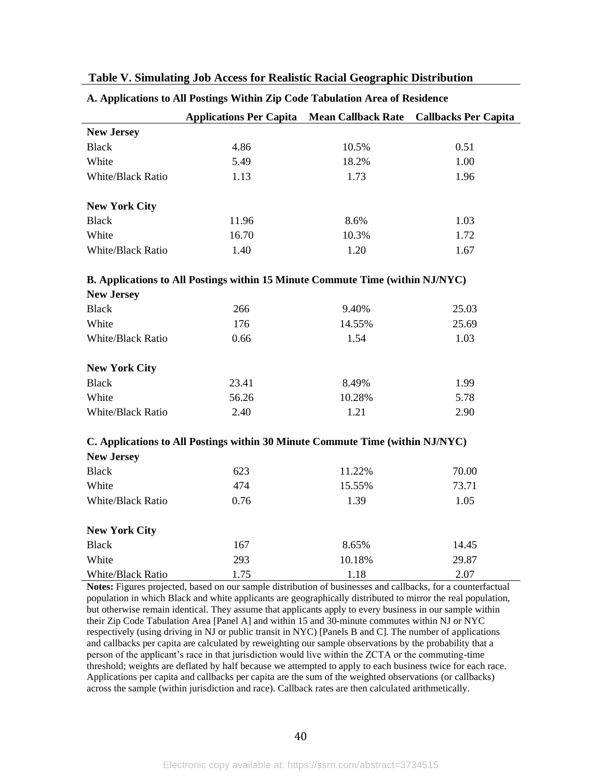|  |  | Table V. Simulating Job Access for Realistic Racial Geographic Distribution |
|--|--|-----------------------------------------------------------------------------|
|  |  |                                                                             |

| A. Applications to All Postings Within Zip Code Tabulation Area of Residence |  |
|------------------------------------------------------------------------------|--|
|------------------------------------------------------------------------------|--|

|                          | <b>Applications Per Capita</b>                                                | <b>Mean Callback Rate</b> | <b>Callbacks Per Capita</b> |
|--------------------------|-------------------------------------------------------------------------------|---------------------------|-----------------------------|
| <b>New Jersey</b>        |                                                                               |                           |                             |
| <b>Black</b>             | 4.86                                                                          | 10.5%                     | 0.51                        |
| White                    | 5.49                                                                          | 18.2%                     | 1.00                        |
| White/Black Ratio        | 1.13                                                                          | 1.73                      | 1.96                        |
| <b>New York City</b>     |                                                                               |                           |                             |
| <b>Black</b>             | 11.96                                                                         | 8.6%                      | 1.03                        |
| White                    | 16.70                                                                         | 10.3%                     | 1.72                        |
| White/Black Ratio        | 1.40                                                                          | 1.20                      | 1.67                        |
|                          | B. Applications to All Postings within 15 Minute Commute Time (within NJ/NYC) |                           |                             |
| <b>New Jersey</b>        |                                                                               |                           |                             |
| <b>Black</b>             | 266                                                                           | 9.40%                     | 25.03                       |
| White                    | 176                                                                           | 14.55%                    | 25.69                       |
| <b>White/Black Ratio</b> | 0.66                                                                          | 1.54                      | 1.03                        |
| <b>New York City</b>     |                                                                               |                           |                             |
| <b>Black</b>             | 23.41                                                                         | 8.49%                     | 1.99                        |
| White                    | 56.26                                                                         | 10.28%                    | 5.78                        |
| <b>White/Black Ratio</b> | 2.40                                                                          | 1.21                      | 2.90                        |
|                          | C. Applications to All Postings within 30 Minute Commute Time (within NJ/NYC) |                           |                             |
| <b>New Jersey</b>        |                                                                               |                           |                             |
| <b>Black</b>             | 623                                                                           | 11.22%                    | 70.00                       |
| White                    | 474                                                                           | 15.55%                    | 73.71                       |
| White/Black Ratio        | 0.76                                                                          | 1.39                      | 1.05                        |
| <b>New York City</b>     |                                                                               |                           |                             |
| <b>Black</b>             | 167                                                                           | 8.65%                     | 14.45                       |
| White                    | 293                                                                           | 10.18%                    | 29.87                       |
| White/Black Ratio        | 1.75                                                                          | 1.18                      | 2.07                        |

**Notes:** Figures projected, based on our sample distribution of businesses and callbacks, for a counterfactual population in which Black and white applicants are geographically distributed to mirror the real population, but otherwise remain identical. They assume that applicants apply to every business in our sample within their Zip Code Tabulation Area [Panel A] and within 15 and 30-minute commutes within NJ or NYC respectively (using driving in NJ or public transit in NYC) [Panels B and C]. The number of applications and callbacks per capita are calculated by reweighting our sample observations by the probability that a person of the applicant's race in that jurisdiction would live within the ZCTA or the commuting-time threshold; weights are deflated by half because we attempted to apply to each business twice for each race. Applications per capita and callbacks per capita are the sum of the weighted observations (or callbacks) across the sample (within jurisdiction and race). Callback rates are then calculated arithmetically.